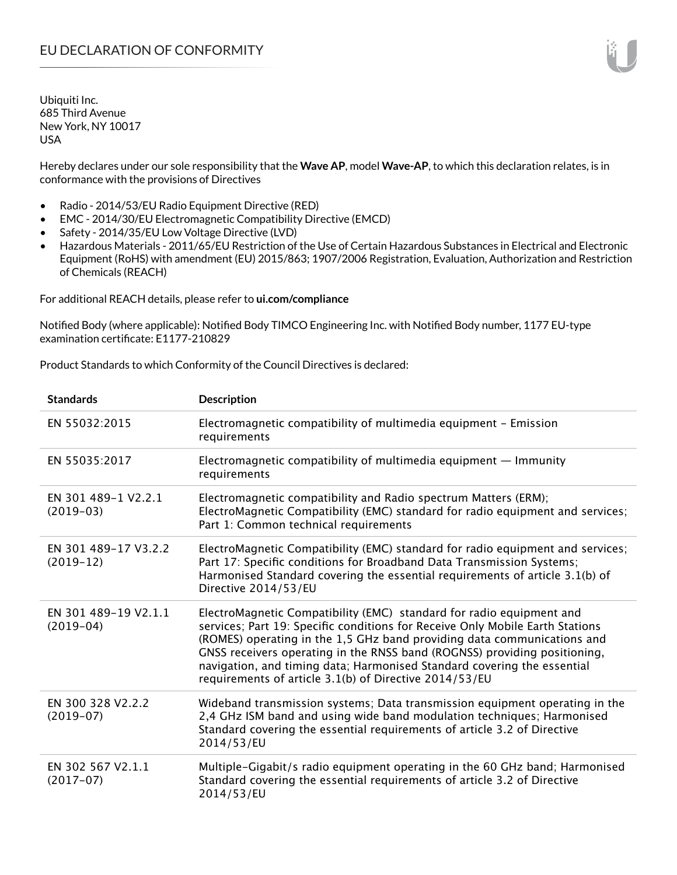Hereby declares under our sole responsibility that the **Wave AP**, model **Wave-AP**, to which this declaration relates, is in conformance with the provisions of Directives

- Radio 2014/53/EU Radio Equipment Directive (RED)
- EMC 2014/30/EU Electromagnetic Compatibility Directive (EMCD)
- Safety 2014/35/EU Low Voltage Directive (LVD)
- Hazardous Materials 2011/65/EU Restriction of the Use of Certain Hazardous Substances in Electrical and Electronic Equipment (RoHS) with amendment (EU) 2015/863; 1907/2006 Registration, Evaluation, Authorization and Restriction of Chemicals (REACH)

For additional REACH details, please refer to **ui.com/compliance**

Notified Body (where applicable): Notified Body TIMCO Engineering Inc. with Notified Body number, 1177 EU-type examination certificate: E1177-210829

Product Standards to which Conformity of the Council Directives is declared:

| <b>Standards</b>                    | <b>Description</b>                                                                                                                                                                                                                                                                                                                                                                                                                                 |
|-------------------------------------|----------------------------------------------------------------------------------------------------------------------------------------------------------------------------------------------------------------------------------------------------------------------------------------------------------------------------------------------------------------------------------------------------------------------------------------------------|
| EN 55032:2015                       | Electromagnetic compatibility of multimedia equipment - Emission<br>requirements                                                                                                                                                                                                                                                                                                                                                                   |
| EN 55035:2017                       | Electromagnetic compatibility of multimedia equipment $-$ Immunity<br>requirements                                                                                                                                                                                                                                                                                                                                                                 |
| EN 301 489-1 V2.2.1<br>$(2019-03)$  | Electromagnetic compatibility and Radio spectrum Matters (ERM);<br>ElectroMagnetic Compatibility (EMC) standard for radio equipment and services;<br>Part 1: Common technical requirements                                                                                                                                                                                                                                                         |
| EN 301 489-17 V3.2.2<br>$(2019-12)$ | ElectroMagnetic Compatibility (EMC) standard for radio equipment and services;<br>Part 17: Specific conditions for Broadband Data Transmission Systems;<br>Harmonised Standard covering the essential requirements of article 3.1(b) of<br>Directive 2014/53/EU                                                                                                                                                                                    |
| EN 301 489-19 V2.1.1<br>$(2019-04)$ | ElectroMagnetic Compatibility (EMC) standard for radio equipment and<br>services; Part 19: Specific conditions for Receive Only Mobile Earth Stations<br>(ROMES) operating in the 1,5 GHz band providing data communications and<br>GNSS receivers operating in the RNSS band (ROGNSS) providing positioning,<br>navigation, and timing data; Harmonised Standard covering the essential<br>requirements of article 3.1(b) of Directive 2014/53/EU |
| EN 300 328 V2.2.2<br>$(2019-07)$    | Wideband transmission systems; Data transmission equipment operating in the<br>2,4 GHz ISM band and using wide band modulation techniques; Harmonised<br>Standard covering the essential requirements of article 3.2 of Directive<br>2014/53/EU                                                                                                                                                                                                    |
| EN 302 567 V2.1.1<br>$(2017-07)$    | Multiple-Gigabit/s radio equipment operating in the 60 GHz band; Harmonised<br>Standard covering the essential requirements of article 3.2 of Directive<br>2014/53/EU                                                                                                                                                                                                                                                                              |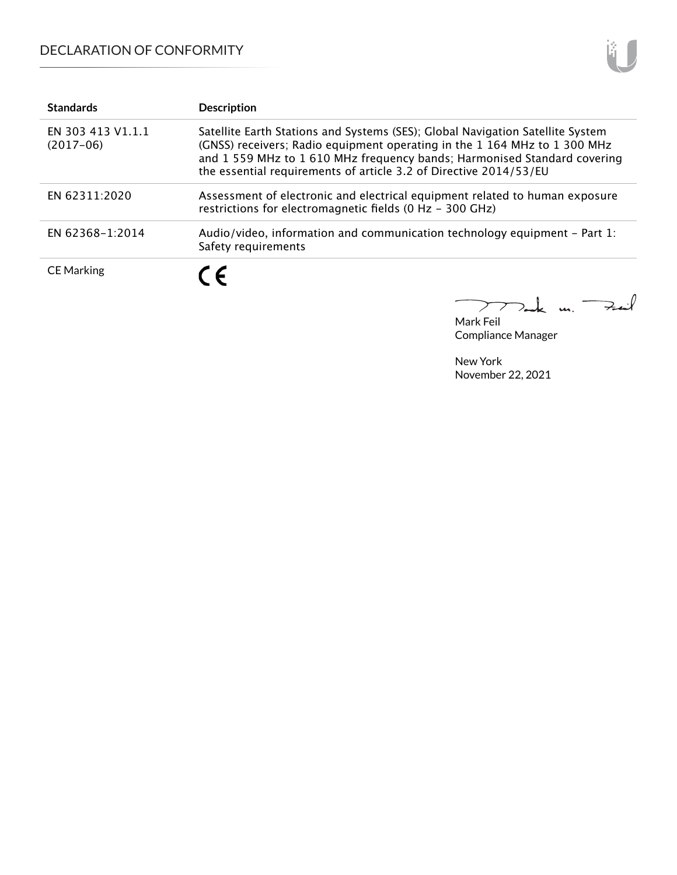## DECLARATION OF CONFORMITY

| <b>Standards</b>                 | <b>Description</b>                                                                                                                                                                                                                                                                                         |
|----------------------------------|------------------------------------------------------------------------------------------------------------------------------------------------------------------------------------------------------------------------------------------------------------------------------------------------------------|
| EN 303 413 V1.1.1<br>$(2017-06)$ | Satellite Earth Stations and Systems (SES); Global Navigation Satellite System<br>(GNSS) receivers; Radio equipment operating in the 1 164 MHz to 1 300 MHz<br>and 1559 MHz to 1610 MHz frequency bands; Harmonised Standard covering<br>the essential requirements of article 3.2 of Directive 2014/53/EU |
| EN 62311:2020                    | Assessment of electronic and electrical equipment related to human exposure<br>restrictions for electromagnetic fields (0 Hz - 300 GHz)                                                                                                                                                                    |
| EN 62368-1:2014                  | Audio/video, information and communication technology equipment - Part 1:<br>Safety requirements                                                                                                                                                                                                           |
| <b>CE Marking</b>                | C E                                                                                                                                                                                                                                                                                                        |

Dank m. Fail

Mark Feil Compliance Manager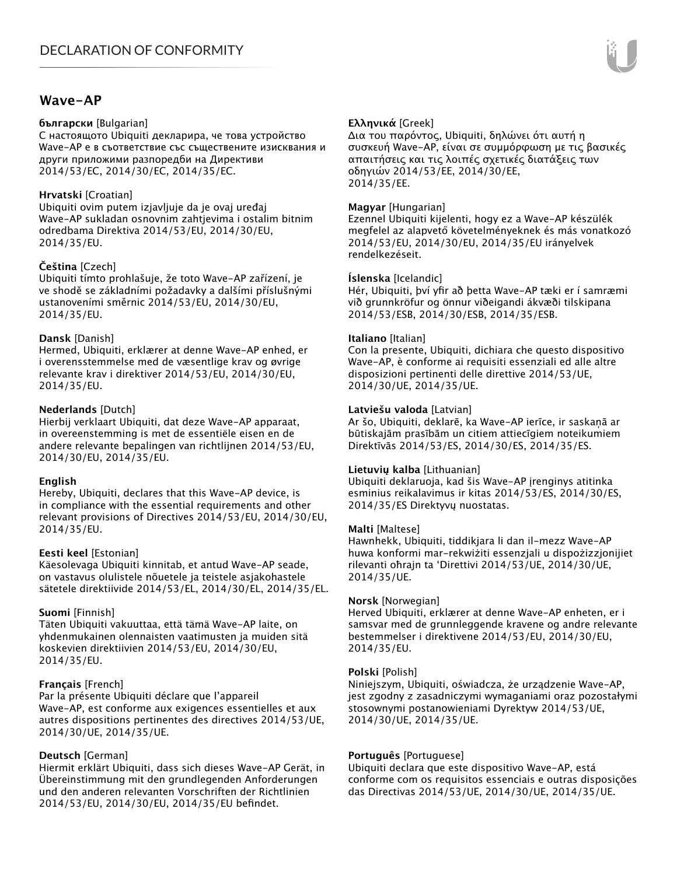## **Wave-AP**

#### **български** [Bulgarian]

С настоящото Ubiquiti декларира, че това устройство Wave-AP е в съответствие със съществените изисквания и други приложими разпоредби на Директиви 2014/53/EC, 2014/30/ЕС, 2014/35/ЕС.

## **Hrvatski** [Croatian]

Ubiquiti ovim putem izjavljuje da je ovaj uređaj Wave-AP sukladan osnovnim zahtjevima i ostalim bitnim odredbama Direktiva 2014/53/EU, 2014/30/EU, 2014/35/EU.

## **Čeština** [Czech]

Ubiquiti tímto prohlašuje, že toto Wave-AP zařízení, je ve shodě se základními požadavky a dalšími příslušnými ustanoveními směrnic 2014/53/EU, 2014/30/EU, 2014/35/EU.

## **Dansk** [Danish]

Hermed, Ubiquiti, erklærer at denne Wave-AP enhed, er i overensstemmelse med de væsentlige krav og øvrige relevante krav i direktiver 2014/53/EU, 2014/30/EU, 2014/35/EU.

## **Nederlands** [Dutch]

Hierbij verklaart Ubiquiti, dat deze Wave-AP apparaat, in overeenstemming is met de essentiële eisen en de andere relevante bepalingen van richtlijnen 2014/53/EU, 2014/30/EU, 2014/35/EU.

## **English**

Hereby, Ubiquiti, declares that this Wave-AP device, is in compliance with the essential requirements and other relevant provisions of Directives 2014/53/EU, 2014/30/EU, 2014/35/EU.

## **Eesti keel** [Estonian]

Käesolevaga Ubiquiti kinnitab, et antud Wave-AP seade, on vastavus olulistele nõuetele ja teistele asjakohastele sätetele direktiivide 2014/53/EL, 2014/30/EL, 2014/35/EL.

## **Suomi** [Finnish]

Täten Ubiquiti vakuuttaa, että tämä Wave-AP laite, on yhdenmukainen olennaisten vaatimusten ja muiden sitä koskevien direktiivien 2014/53/EU, 2014/30/EU, 2014/35/EU.

## **Français** [French]

Par la présente Ubiquiti déclare que l'appareil Wave-AP, est conforme aux exigences essentielles et aux autres dispositions pertinentes des directives 2014/53/UE, 2014/30/UE, 2014/35/UE.

## **Deutsch** [German]

Hiermit erklärt Ubiquiti, dass sich dieses Wave-AP Gerät, in Übereinstimmung mit den grundlegenden Anforderungen und den anderen relevanten Vorschriften der Richtlinien 2014/53/EU, 2014/30/EU, 2014/35/EU befindet.

## **Ελληνικά** [Greek]

Δια του παρόντος, Ubiquiti, δηλώνει ότι αυτή η συσκευή Wave-AP, είναι σε συμμόρφωση με τις βασικές απαιτήσεις και τις λοιπές σχετικές διατάξεις των οδηγιών 2014/53/EE, 2014/30/EE, 2014/35/EE.

## **Magyar** [Hungarian]

Ezennel Ubiquiti kijelenti, hogy ez a Wave-AP készülék megfelel az alapvető követelményeknek és más vonatkozó 2014/53/EU, 2014/30/EU, 2014/35/EU irányelvek rendelkezéseit.

## **Íslenska** [Icelandic]

Hér, Ubiquiti, því yfir að þetta Wave-AP tæki er í samræmi við grunnkröfur og önnur viðeigandi ákvæði tilskipana 2014/53/ESB, 2014/30/ESB, 2014/35/ESB.

#### **Italiano** [Italian]

Con la presente, Ubiquiti, dichiara che questo dispositivo Wave-AP, è conforme ai requisiti essenziali ed alle altre disposizioni pertinenti delle direttive 2014/53/UE, 2014/30/UE, 2014/35/UE.

## **Latviešu valoda** [Latvian]

Ar šo, Ubiquiti, deklarē, ka Wave-AP ierīce, ir saskaņā ar būtiskajām prasībām un citiem attiecīgiem noteikumiem Direktīvās 2014/53/ES, 2014/30/ES, 2014/35/ES.

## **Lietuvių kalba** [Lithuanian]

Ubiquiti deklaruoja, kad šis Wave-AP įrenginys atitinka esminius reikalavimus ir kitas 2014/53/ES, 2014/30/ES, 2014/35/ES Direktyvų nuostatas.

## **Malti** [Maltese]

Hawnhekk, Ubiquiti, tiddikjara li dan il-mezz Wave-AP huwa konformi mar-rekwiżiti essenzjali u dispożizzjonijiet rilevanti oħrajn ta 'Direttivi 2014/53/UE, 2014/30/UE, 2014/35/UE.

## **Norsk** [Norwegian]

Herved Ubiquiti, erklærer at denne Wave-AP enheten, er i samsvar med de grunnleggende kravene og andre relevante bestemmelser i direktivene 2014/53/EU, 2014/30/EU, 2014/35/EU.

#### **Polski** [Polish]

Niniejszym, Ubiquiti, oświadcza, że urządzenie Wave-AP, jest zgodny z zasadniczymi wymaganiami oraz pozostałymi stosownymi postanowieniami Dyrektyw 2014/53/UE, 2014/30/UE, 2014/35/UE.

## **Português** [Portuguese]

Ubiquiti declara que este dispositivo Wave-AP, está conforme com os requisitos essenciais e outras disposições das Directivas 2014/53/UE, 2014/30/UE, 2014/35/UE.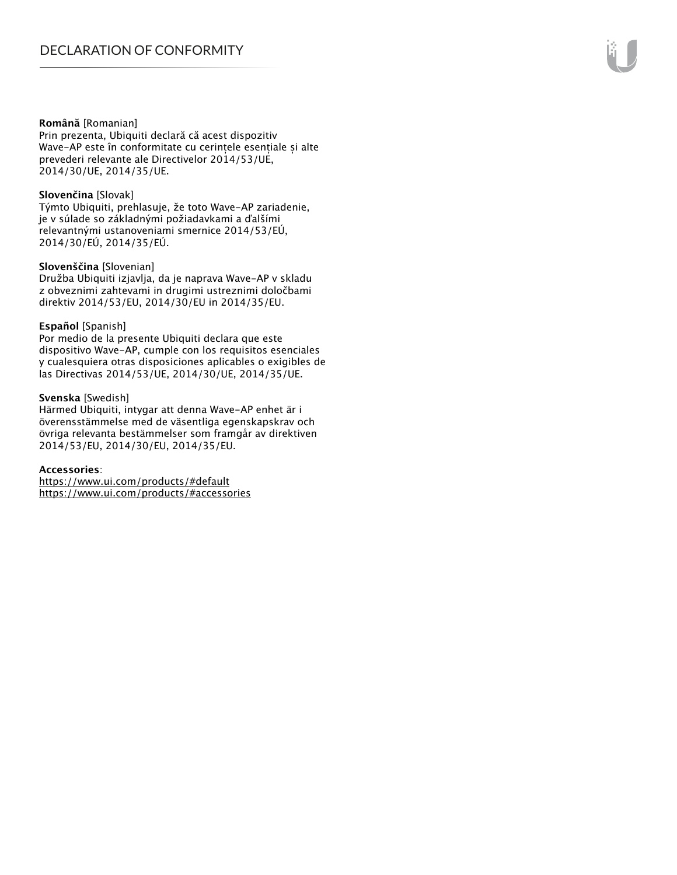#### **Română** [Romanian]

Prin prezenta, Ubiquiti declară că acest dispozitiv Wave-AP este în conformitate cu cerințele esențiale și alte prevederi relevante ale Directivelor 2014/53/UE, 2014/30/UE, 2014/35/UE.

#### **Slovenčina** [Slovak]

Týmto Ubiquiti, prehlasuje, že toto Wave-AP zariadenie, je v súlade so základnými požiadavkami a ďalšími relevantnými ustanoveniami smernice 2014/53/EÚ, 2014/30/EÚ, 2014/35/EÚ.

#### **Slovenščina** [Slovenian]

Družba Ubiquiti izjavlja, da je naprava Wave-AP v skladu z obveznimi zahtevami in drugimi ustreznimi določbami direktiv 2014/53/EU, 2014/30/EU in 2014/35/EU.

#### **Español** [Spanish]

Por medio de la presente Ubiquiti declara que este dispositivo Wave-AP, cumple con los requisitos esenciales y cualesquiera otras disposiciones aplicables o exigibles de las Directivas 2014/53/UE, 2014/30/UE, 2014/35/UE.

#### **Svenska** [Swedish]

Härmed Ubiquiti, intygar att denna Wave-AP enhet är i överensstämmelse med de väsentliga egenskapskrav och övriga relevanta bestämmelser som framgår av direktiven 2014/53/EU, 2014/30/EU, 2014/35/EU.

#### **Accessories**:

https://www.ui.com/products/#default https://www.ui.com/products/#accessories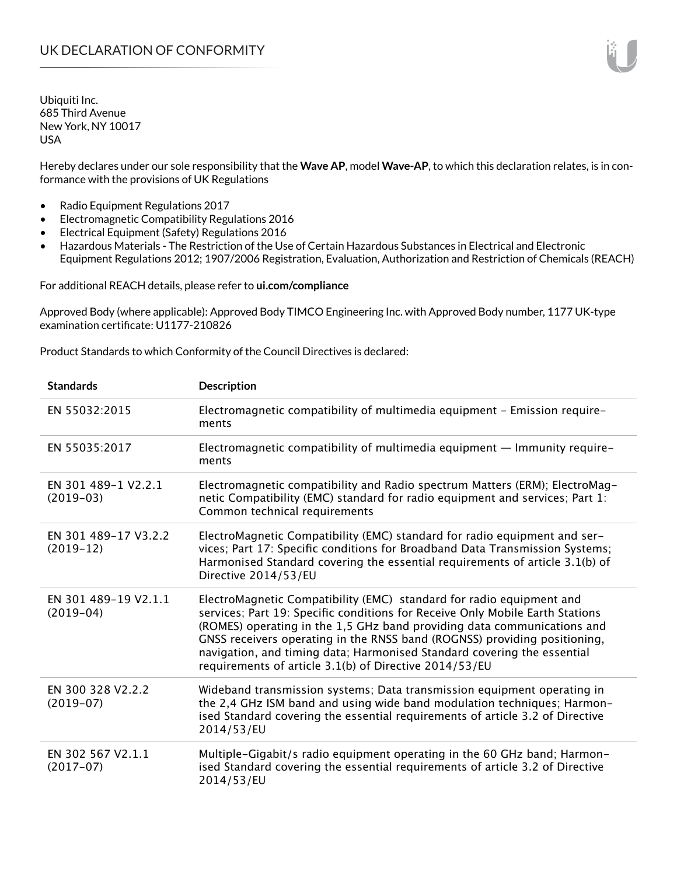Hereby declares under our sole responsibility that the **Wave AP**, model **Wave-AP**, to which this declaration relates, is in conformance with the provisions of UK Regulations

- Radio Equipment Regulations 2017
- Electromagnetic Compatibility Regulations 2016
- Electrical Equipment (Safety) Regulations 2016
- Hazardous Materials The Restriction of the Use of Certain Hazardous Substances in Electrical and Electronic Equipment Regulations 2012; 1907/2006 Registration, Evaluation, Authorization and Restriction of Chemicals (REACH)

For additional REACH details, please refer to **ui.com/compliance**

Approved Body (where applicable): Approved Body TIMCO Engineering Inc. with Approved Body number, 1177 UK-type examination certificate: U1177-210826

Product Standards to which Conformity of the Council Directives is declared:

| <b>Standards</b>                    | <b>Description</b>                                                                                                                                                                                                                                                                                                                                                                                                                                 |
|-------------------------------------|----------------------------------------------------------------------------------------------------------------------------------------------------------------------------------------------------------------------------------------------------------------------------------------------------------------------------------------------------------------------------------------------------------------------------------------------------|
| EN 55032:2015                       | Electromagnetic compatibility of multimedia equipment - Emission require-<br>ments                                                                                                                                                                                                                                                                                                                                                                 |
| EN 55035:2017                       | Electromagnetic compatibility of multimedia equipment - Immunity require-<br>ments                                                                                                                                                                                                                                                                                                                                                                 |
| EN 301 489-1 V2.2.1<br>$(2019-03)$  | Electromagnetic compatibility and Radio spectrum Matters (ERM); ElectroMag-<br>netic Compatibility (EMC) standard for radio equipment and services; Part 1:<br>Common technical requirements                                                                                                                                                                                                                                                       |
| EN 301 489-17 V3.2.2<br>$(2019-12)$ | ElectroMagnetic Compatibility (EMC) standard for radio equipment and ser-<br>vices; Part 17: Specific conditions for Broadband Data Transmission Systems;<br>Harmonised Standard covering the essential requirements of article 3.1(b) of<br>Directive 2014/53/EU                                                                                                                                                                                  |
| EN 301 489-19 V2.1.1<br>$(2019-04)$ | ElectroMagnetic Compatibility (EMC) standard for radio equipment and<br>services; Part 19: Specific conditions for Receive Only Mobile Earth Stations<br>(ROMES) operating in the 1,5 GHz band providing data communications and<br>GNSS receivers operating in the RNSS band (ROGNSS) providing positioning,<br>navigation, and timing data; Harmonised Standard covering the essential<br>requirements of article 3.1(b) of Directive 2014/53/EU |
| EN 300 328 V2.2.2<br>$(2019-07)$    | Wideband transmission systems; Data transmission equipment operating in<br>the 2,4 GHz ISM band and using wide band modulation techniques; Harmon-<br>ised Standard covering the essential requirements of article 3.2 of Directive<br>2014/53/EU                                                                                                                                                                                                  |
| EN 302 567 V2.1.1<br>$(2017-07)$    | Multiple-Gigabit/s radio equipment operating in the 60 GHz band; Harmon-<br>ised Standard covering the essential requirements of article 3.2 of Directive<br>2014/53/EU                                                                                                                                                                                                                                                                            |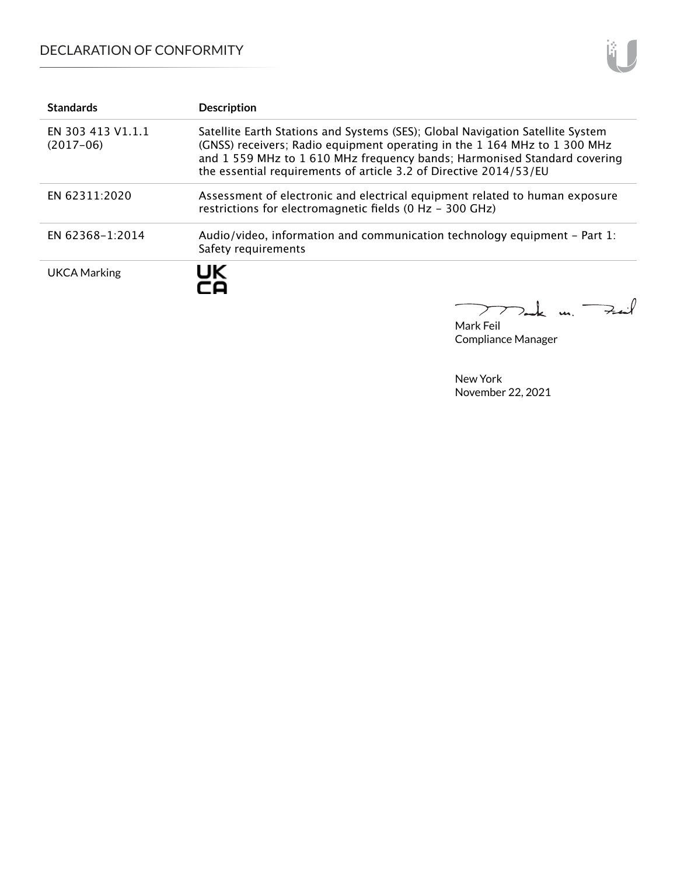## DECLARATION OF CONFORMITY

| <b>Standards</b>                 | <b>Description</b>                                                                                                                                                                                                                                                                                           |
|----------------------------------|--------------------------------------------------------------------------------------------------------------------------------------------------------------------------------------------------------------------------------------------------------------------------------------------------------------|
| EN 303 413 V1.1.1<br>$(2017-06)$ | Satellite Earth Stations and Systems (SES); Global Navigation Satellite System<br>(GNSS) receivers; Radio equipment operating in the 1 164 MHz to 1 300 MHz<br>and 1 559 MHz to 1 610 MHz frequency bands; Harmonised Standard covering<br>the essential requirements of article 3.2 of Directive 2014/53/EU |
| EN 62311:2020                    | Assessment of electronic and electrical equipment related to human exposure<br>restrictions for electromagnetic fields (0 Hz - 300 GHz)                                                                                                                                                                      |
| EN 62368-1:2014                  | Audio/video, information and communication technology equipment – Part 1:<br>Safety requirements                                                                                                                                                                                                             |
| <b>UKCA Marking</b>              | UK<br>-0                                                                                                                                                                                                                                                                                                     |

Mark Feil Compliance Manager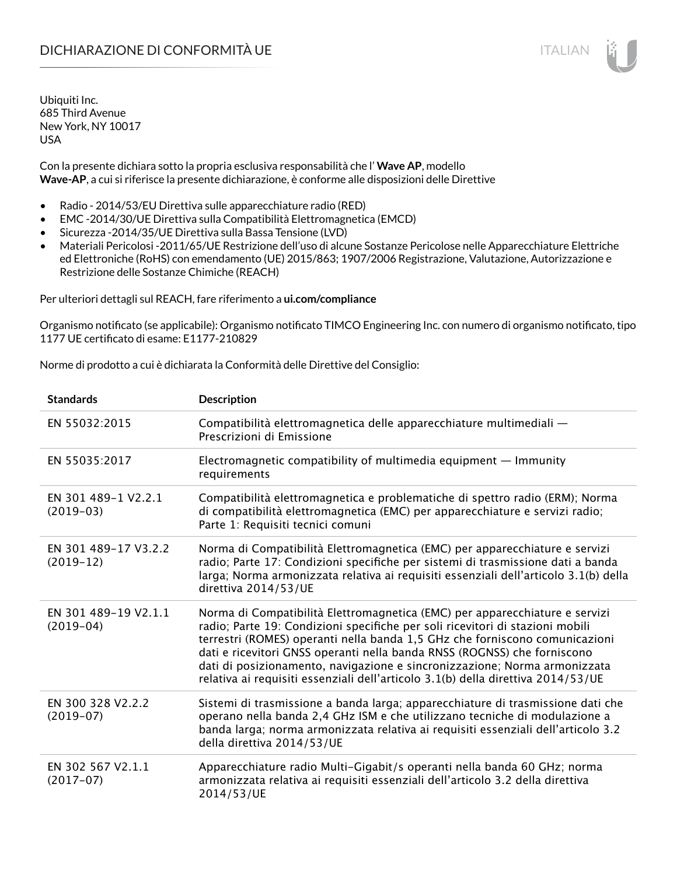Con la presente dichiara sotto la propria esclusiva responsabilità che l' **Wave AP**, modello **Wave-AP**, a cui si riferisce la presente dichiarazione, è conforme alle disposizioni delle Direttive

- Radio 2014/53/EU Direttiva sulle apparecchiature radio (RED)
- EMC -2014/30/UE Direttiva sulla Compatibilità Elettromagnetica (EMCD)
- Sicurezza -2014/35/UE Direttiva sulla Bassa Tensione (LVD)
- Materiali Pericolosi -2011/65/UE Restrizione dell'uso di alcune Sostanze Pericolose nelle Apparecchiature Elettriche ed Elettroniche (RoHS) con emendamento (UE) 2015/863; 1907/2006 Registrazione, Valutazione, Autorizzazione e Restrizione delle Sostanze Chimiche (REACH)

Per ulteriori dettagli sul REACH, fare riferimento a **ui.com/compliance**

Organismo notificato (se applicabile): Organismo notificato TIMCO Engineering Inc. con numero di organismo notificato, tipo 1177 UE certificato di esame: E1177-210829

Norme di prodotto a cui è dichiarata la Conformità delle Direttive del Consiglio:

| <b>Standards</b>                    | <b>Description</b>                                                                                                                                                                                                                                                                                                                                                                                                                                                                       |
|-------------------------------------|------------------------------------------------------------------------------------------------------------------------------------------------------------------------------------------------------------------------------------------------------------------------------------------------------------------------------------------------------------------------------------------------------------------------------------------------------------------------------------------|
| EN 55032:2015                       | Compatibilità elettromagnetica delle apparecchiature multimediali -<br>Prescrizioni di Emissione                                                                                                                                                                                                                                                                                                                                                                                         |
| EN 55035:2017                       | Electromagnetic compatibility of multimedia equipment $-$ Immunity<br>requirements                                                                                                                                                                                                                                                                                                                                                                                                       |
| EN 301 489-1 V2.2.1<br>$(2019-03)$  | Compatibilità elettromagnetica e problematiche di spettro radio (ERM); Norma<br>di compatibilità elettromagnetica (EMC) per apparecchiature e servizi radio;<br>Parte 1: Requisiti tecnici comuni                                                                                                                                                                                                                                                                                        |
| EN 301 489-17 V3.2.2<br>$(2019-12)$ | Norma di Compatibilità Elettromagnetica (EMC) per apparecchiature e servizi<br>radio; Parte 17: Condizioni specifiche per sistemi di trasmissione dati a banda<br>larga; Norma armonizzata relativa ai requisiti essenziali dell'articolo 3.1(b) della<br>direttiva 2014/53/UE                                                                                                                                                                                                           |
| EN 301 489-19 V2.1.1<br>$(2019-04)$ | Norma di Compatibilità Elettromagnetica (EMC) per apparecchiature e servizi<br>radio; Parte 19: Condizioni specifiche per soli ricevitori di stazioni mobili<br>terrestri (ROMES) operanti nella banda 1,5 GHz che forniscono comunicazioni<br>dati e ricevitori GNSS operanti nella banda RNSS (ROGNSS) che forniscono<br>dati di posizionamento, navigazione e sincronizzazione; Norma armonizzata<br>relativa ai requisiti essenziali dell'articolo 3.1(b) della direttiva 2014/53/UE |
| EN 300 328 V2.2.2<br>$(2019-07)$    | Sistemi di trasmissione a banda larga; apparecchiature di trasmissione dati che<br>operano nella banda 2,4 GHz ISM e che utilizzano tecniche di modulazione a<br>banda larga; norma armonizzata relativa ai requisiti essenziali dell'articolo 3.2<br>della direttiva 2014/53/UE                                                                                                                                                                                                         |
| EN 302 567 V2.1.1<br>$(2017-07)$    | Apparecchiature radio Multi-Gigabit/s operanti nella banda 60 GHz; norma<br>armonizzata relativa ai requisiti essenziali dell'articolo 3.2 della direttiva<br>2014/53/UE                                                                                                                                                                                                                                                                                                                 |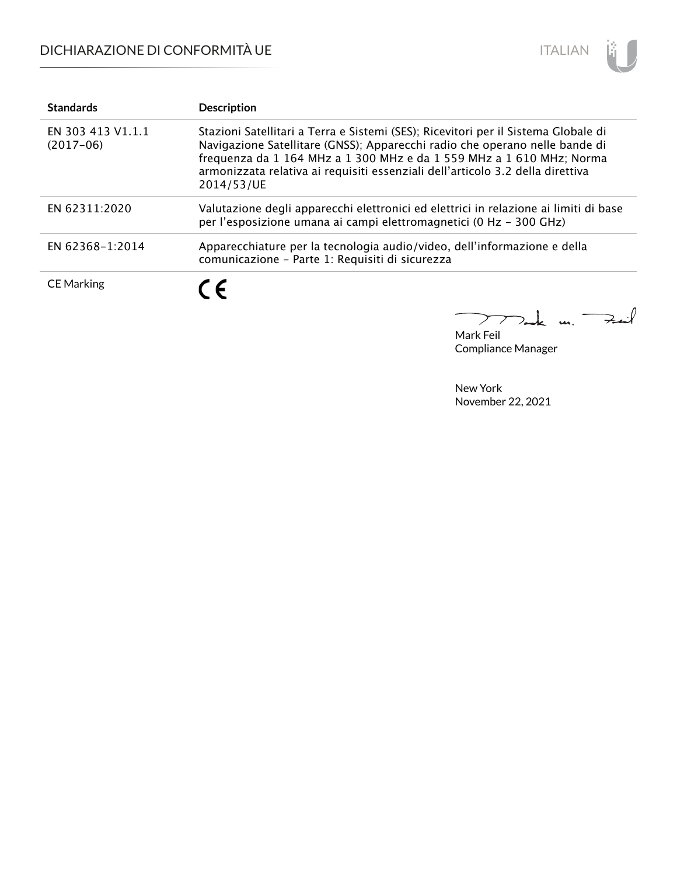

| <b>Standards</b>                 | <b>Description</b>                                                                                                                                                                                                                                                                                                                        |
|----------------------------------|-------------------------------------------------------------------------------------------------------------------------------------------------------------------------------------------------------------------------------------------------------------------------------------------------------------------------------------------|
| EN 303 413 V1.1.1<br>$(2017-06)$ | Stazioni Satellitari a Terra e Sistemi (SES); Ricevitori per il Sistema Globale di<br>Navigazione Satellitare (GNSS); Apparecchi radio che operano nelle bande di<br>frequenza da 1 164 MHz a 1 300 MHz e da 1 559 MHz a 1 610 MHz; Norma<br>armonizzata relativa ai requisiti essenziali dell'articolo 3.2 della direttiva<br>2014/53/UE |
| EN 62311:2020                    | Valutazione degli apparecchi elettronici ed elettrici in relazione ai limiti di base<br>per l'esposizione umana ai campi elettromagnetici (0 Hz - 300 GHz)                                                                                                                                                                                |
| EN 62368-1:2014                  | Apparecchiature per la tecnologia audio/video, dell'informazione e della<br>comunicazione - Parte 1: Requisiti di sicurezza                                                                                                                                                                                                               |
| <b>CE Marking</b>                | ( F                                                                                                                                                                                                                                                                                                                                       |

Mark Feil un Zuil

Compliance Manager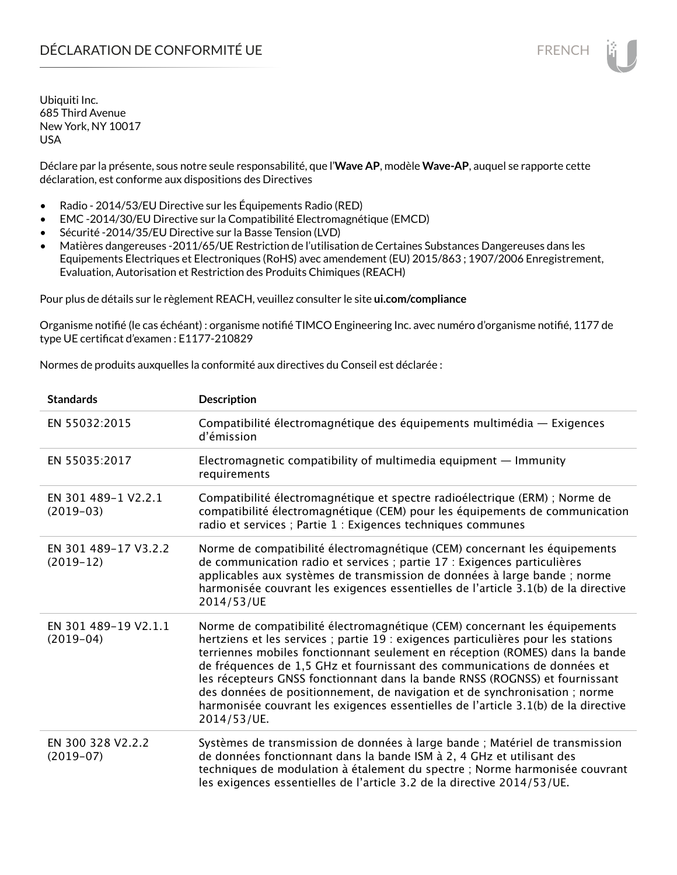Déclare par la présente, sous notre seule responsabilité, que l'**Wave AP**, modèle **Wave-AP**, auquel se rapporte cette déclaration, est conforme aux dispositions des Directives

- Radio 2014/53/EU Directive sur les Équipements Radio (RED)
- EMC -2014/30/EU Directive sur la Compatibilité Electromagnétique (EMCD)
- Sécurité -2014/35/EU Directive sur la Basse Tension (LVD)
- Matières dangereuses -2011/65/UE Restriction de l'utilisation de Certaines Substances Dangereuses dans les Equipements Electriques et Electroniques (RoHS) avec amendement (EU) 2015/863 ; 1907/2006 Enregistrement, Evaluation, Autorisation et Restriction des Produits Chimiques (REACH)

Pour plus de détails sur le règlement REACH, veuillez consulter le site **ui.com/compliance**

Organisme notifié (le cas échéant) : organisme notifié TIMCO Engineering Inc. avec numéro d'organisme notifié, 1177 de type UE certificat d'examen : E1177-210829

Normes de produits auxquelles la conformité aux directives du Conseil est déclarée :

| <b>Standards</b>                    | <b>Description</b>                                                                                                                                                                                                                                                                                                                                                                                                                                                                                                                                                                           |
|-------------------------------------|----------------------------------------------------------------------------------------------------------------------------------------------------------------------------------------------------------------------------------------------------------------------------------------------------------------------------------------------------------------------------------------------------------------------------------------------------------------------------------------------------------------------------------------------------------------------------------------------|
| EN 55032:2015                       | Compatibilité électromagnétique des équipements multimédia — Exigences<br>d'émission                                                                                                                                                                                                                                                                                                                                                                                                                                                                                                         |
| EN 55035:2017                       | Electromagnetic compatibility of multimedia equipment $-$ Immunity<br>requirements                                                                                                                                                                                                                                                                                                                                                                                                                                                                                                           |
| EN 301 489-1 V2.2.1<br>$(2019-03)$  | Compatibilité électromagnétique et spectre radioélectrique (ERM) ; Norme de<br>compatibilité électromagnétique (CEM) pour les équipements de communication<br>radio et services ; Partie 1 : Exigences techniques communes                                                                                                                                                                                                                                                                                                                                                                   |
| EN 301 489-17 V3.2.2<br>$(2019-12)$ | Norme de compatibilité électromagnétique (CEM) concernant les équipements<br>de communication radio et services ; partie 17 : Exigences particulières<br>applicables aux systèmes de transmission de données à large bande ; norme<br>harmonisée couvrant les exigences essentielles de l'article 3.1(b) de la directive<br>2014/53/UE                                                                                                                                                                                                                                                       |
| EN 301 489-19 V2.1.1<br>$(2019-04)$ | Norme de compatibilité électromagnétique (CEM) concernant les équipements<br>hertziens et les services ; partie 19 : exigences particulières pour les stations<br>terriennes mobiles fonctionnant seulement en réception (ROMES) dans la bande<br>de fréquences de 1,5 GHz et fournissant des communications de données et<br>les récepteurs GNSS fonctionnant dans la bande RNSS (ROGNSS) et fournissant<br>des données de positionnement, de navigation et de synchronisation ; norme<br>harmonisée couvrant les exigences essentielles de l'article 3.1(b) de la directive<br>2014/53/UE. |
| EN 300 328 V2.2.2<br>$(2019-07)$    | Systèmes de transmission de données à large bande ; Matériel de transmission<br>de données fonctionnant dans la bande ISM à 2, 4 GHz et utilisant des<br>techniques de modulation à étalement du spectre ; Norme harmonisée couvrant<br>les exigences essentielles de l'article 3.2 de la directive 2014/53/UE.                                                                                                                                                                                                                                                                              |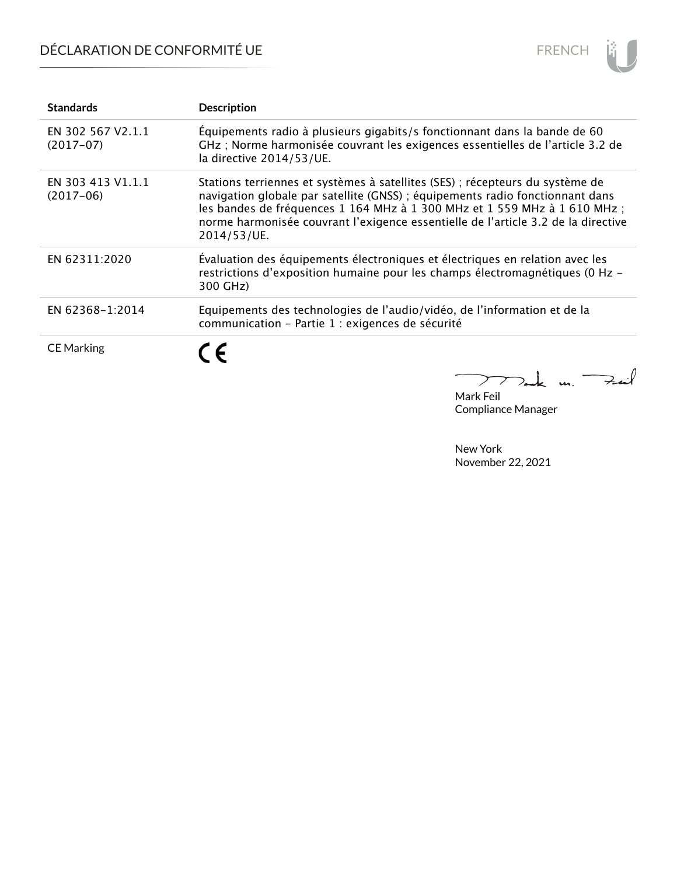# DÉCLARATION DE CONFORMITÉ UE



| <b>Standards</b>                 | <b>Description</b>                                                                                                                                                                                                                                                                                                                              |
|----------------------------------|-------------------------------------------------------------------------------------------------------------------------------------------------------------------------------------------------------------------------------------------------------------------------------------------------------------------------------------------------|
| EN 302 567 V2.1.1<br>$(2017-07)$ | Équipements radio à plusieurs gigabits/s fonctionnant dans la bande de 60<br>GHz ; Norme harmonisée couvrant les exigences essentielles de l'article 3.2 de<br>la directive 2014/53/UE.                                                                                                                                                         |
| EN 303 413 V1.1.1<br>$(2017-06)$ | Stations terriennes et systèmes à satellites (SES) ; récepteurs du système de<br>navigation globale par satellite (GNSS) ; équipements radio fonctionnant dans<br>les bandes de fréquences 1 164 MHz à 1 300 MHz et 1 559 MHz à 1 610 MHz ;<br>norme harmonisée couvrant l'exigence essentielle de l'article 3.2 de la directive<br>2014/53/UE. |
| EN 62311:2020                    | Évaluation des équipements électroniques et électriques en relation avec les<br>restrictions d'exposition humaine pour les champs électromagnétiques (0 Hz -<br>300 GHz)                                                                                                                                                                        |
| EN 62368-1:2014                  | Equipements des technologies de l'audio/vidéo, de l'information et de la<br>communication - Partie 1 : exigences de sécurité                                                                                                                                                                                                                    |
| <b>CE Marking</b>                | 7 -                                                                                                                                                                                                                                                                                                                                             |

Tak m. Fail  $\sum$ 

Mark Feil Compliance Manager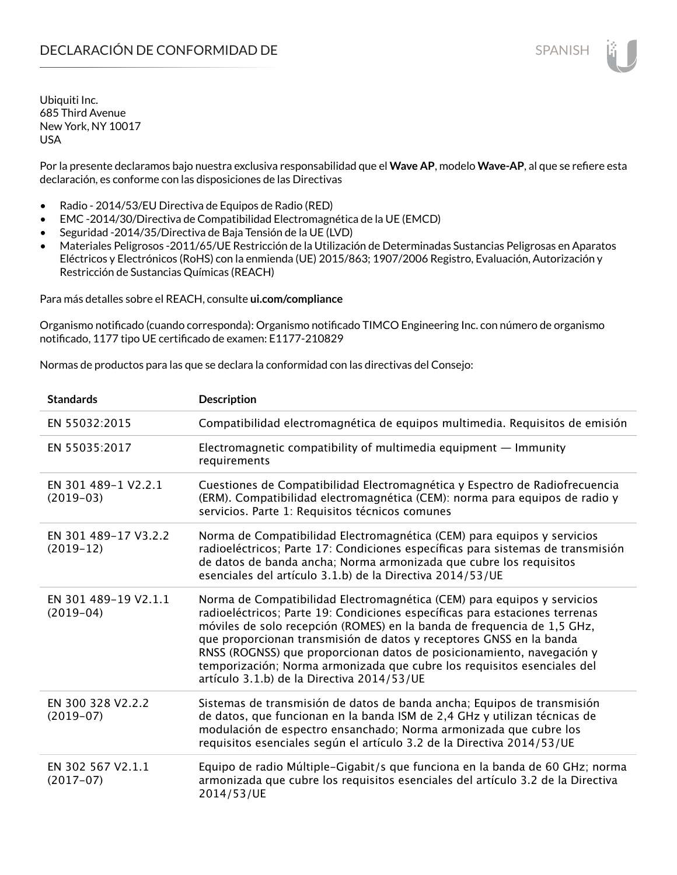Por la presente declaramos bajo nuestra exclusiva responsabilidad que el **Wave AP**, modelo **Wave-AP**, al que se refiere esta declaración, es conforme con las disposiciones de las Directivas

- Radio 2014/53/EU Directiva de Equipos de Radio (RED)
- EMC -2014/30/Directiva de Compatibilidad Electromagnética de la UE (EMCD)
- Seguridad -2014/35/Directiva de Baja Tensión de la UE (LVD)
- Materiales Peligrosos -2011/65/UE Restricción de la Utilización de Determinadas Sustancias Peligrosas en Aparatos Eléctricos y Electrónicos (RoHS) con la enmienda (UE) 2015/863; 1907/2006 Registro, Evaluación, Autorización y Restricción de Sustancias Químicas (REACH)

Para más detalles sobre el REACH, consulte **ui.com/compliance**

Organismo notificado (cuando corresponda): Organismo notificado TIMCO Engineering Inc. con número de organismo notificado, 1177 tipo UE certificado de examen: E1177-210829

Normas de productos para las que se declara la conformidad con las directivas del Consejo:

| <b>Standards</b>                    | <b>Description</b>                                                                                                                                                                                                                                                                                                                                                                                                                                                                                         |
|-------------------------------------|------------------------------------------------------------------------------------------------------------------------------------------------------------------------------------------------------------------------------------------------------------------------------------------------------------------------------------------------------------------------------------------------------------------------------------------------------------------------------------------------------------|
| EN 55032:2015                       | Compatibilidad electromagnética de equipos multimedia. Requisitos de emisión                                                                                                                                                                                                                                                                                                                                                                                                                               |
| EN 55035:2017                       | Electromagnetic compatibility of multimedia equipment - Immunity<br>requirements                                                                                                                                                                                                                                                                                                                                                                                                                           |
| EN 301 489-1 V2.2.1<br>$(2019-03)$  | Cuestiones de Compatibilidad Electromagnética y Espectro de Radiofrecuencia<br>(ERM). Compatibilidad electromagnética (CEM): norma para equipos de radio y<br>servicios. Parte 1: Requisitos técnicos comunes                                                                                                                                                                                                                                                                                              |
| EN 301 489-17 V3.2.2<br>$(2019-12)$ | Norma de Compatibilidad Electromagnética (CEM) para equipos y servicios<br>radioeléctricos; Parte 17: Condiciones específicas para sistemas de transmisión<br>de datos de banda ancha; Norma armonizada que cubre los requisitos<br>esenciales del artículo 3.1.b) de la Directiva 2014/53/UE                                                                                                                                                                                                              |
| EN 301 489-19 V2.1.1<br>$(2019-04)$ | Norma de Compatibilidad Electromagnética (CEM) para equipos y servicios<br>radioeléctricos; Parte 19: Condiciones específicas para estaciones terrenas<br>móviles de solo recepción (ROMES) en la banda de frequencia de 1,5 GHz,<br>que proporcionan transmisión de datos y receptores GNSS en la banda<br>RNSS (ROGNSS) que proporcionan datos de posicionamiento, navegación y<br>temporización; Norma armonizada que cubre los requisitos esenciales del<br>artículo 3.1.b) de la Directiva 2014/53/UE |
| EN 300 328 V2.2.2<br>$(2019-07)$    | Sistemas de transmisión de datos de banda ancha; Equipos de transmisión<br>de datos, que funcionan en la banda ISM de 2,4 GHz y utilizan técnicas de<br>modulación de espectro ensanchado; Norma armonizada que cubre los<br>requisitos esenciales según el artículo 3.2 de la Directiva 2014/53/UE                                                                                                                                                                                                        |
| EN 302 567 V2.1.1<br>$(2017-07)$    | Equipo de radio Múltiple-Gigabit/s que funciona en la banda de 60 GHz; norma<br>armonizada que cubre los requisitos esenciales del artículo 3.2 de la Directiva<br>2014/53/UE                                                                                                                                                                                                                                                                                                                              |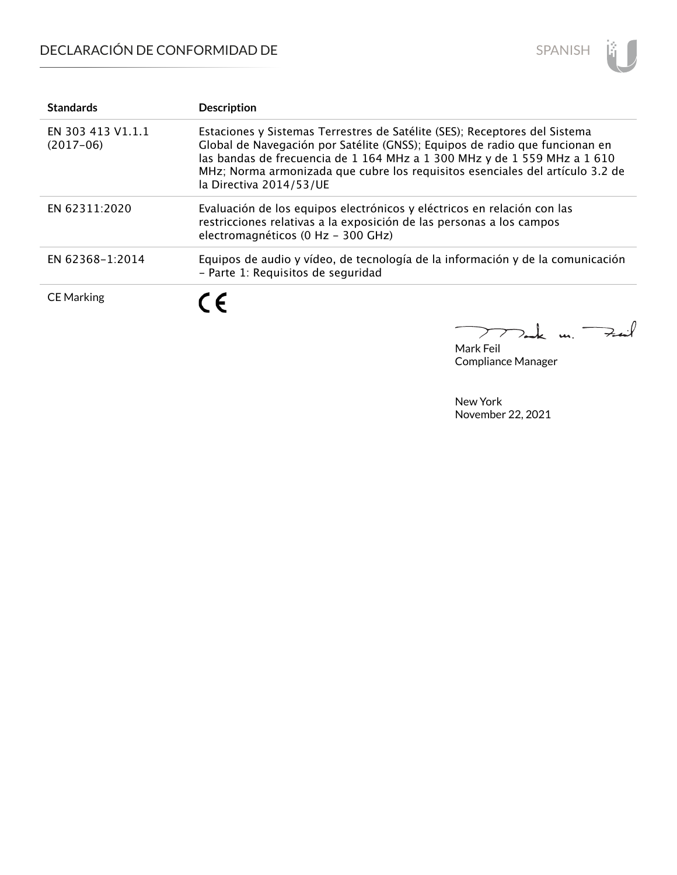# DECLARACIÓN DE CONFORMIDAD DE



| <b>Standards</b>                 | <b>Description</b>                                                                                                                                                                                                                                                                                                                                |
|----------------------------------|---------------------------------------------------------------------------------------------------------------------------------------------------------------------------------------------------------------------------------------------------------------------------------------------------------------------------------------------------|
| EN 303 413 V1.1.1<br>$(2017-06)$ | Estaciones y Sistemas Terrestres de Satélite (SES); Receptores del Sistema<br>Global de Navegación por Satélite (GNSS); Equipos de radio que funcionan en<br>las bandas de frecuencia de 1 164 MHz a 1 300 MHz y de 1 559 MHz a 1 610<br>MHz; Norma armonizada que cubre los requisitos esenciales del artículo 3.2 de<br>la Directiva 2014/53/UE |
| EN 62311:2020                    | Evaluación de los equipos electrónicos y eléctricos en relación con las<br>restricciones relativas a la exposición de las personas a los campos<br>electromagnéticos (0 Hz - 300 GHz)                                                                                                                                                             |
| EN 62368-1:2014                  | Equipos de audio y vídeo, de tecnología de la información y de la comunicación<br>- Parte 1: Requisitos de seguridad                                                                                                                                                                                                                              |
| <b>CE Marking</b>                | $\epsilon$                                                                                                                                                                                                                                                                                                                                        |

كمنعة  $\mu$ .  $\geq$ 

Mark Feil Compliance Manager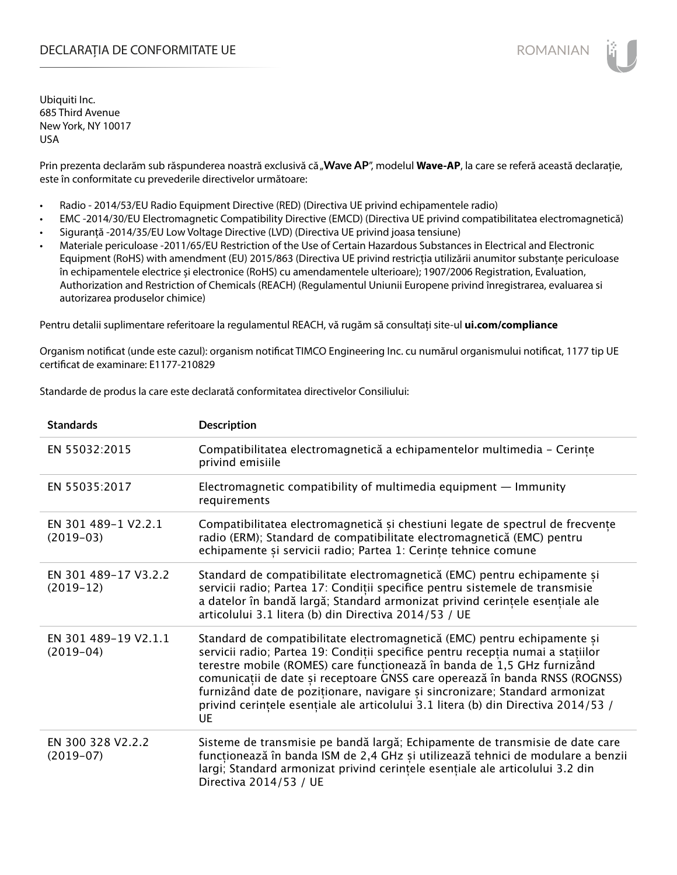## DECLARAȚIA DE CONFORMITATE UE EXECUTE DE ROMANIAN

Ubiquiti Inc. 685 Third Avenue New York, NY 10017 USA

Prin prezenta declarăm sub răspunderea noastră exclusivă că "Wave AP", modelul Wave-AP, la care se referă această declarație, este în conformitate cu prevederile directivelor următoare:

- Radio 2014/53/EU Radio Equipment Directive (RED) (Directiva UE privind echipamentele radio)
- EMC -2014/30/EU Electromagnetic Compatibility Directive (EMCD) (Directiva UE privind compatibilitatea electromagnetică)
- Siguranță -2014/35/EU Low Voltage Directive (LVD) (Directiva UE privind joasa tensiune)
- Materiale periculoase -2011/65/EU Restriction of the Use of Certain Hazardous Substances in Electrical and Electronic Equipment (RoHS) with amendment (EU) 2015/863 (Directiva UE privind restricția utilizării anumitor substanțe periculoase în echipamentele electrice și electronice (RoHS) cu amendamentele ulterioare); 1907/2006 Registration, Evaluation, Authorization and Restriction of Chemicals (REACH) (Regulamentul Uniunii Europene privind înregistrarea, evaluarea si autorizarea produselor chimice)

Pentru detalii suplimentare referitoare la regulamentul REACH, vă rugăm să consultați site-ul **ui.com/compliance**

Organism notificat (unde este cazul): organism notificat TIMCO Engineering Inc. cu numărul organismului notificat, 1177 tip UE certificat de examinare: E1177-210829

Standarde de produs la care este declarată conformitatea directivelor Consiliului:

| <b>Standards</b>                    | <b>Description</b>                                                                                                                                                                                                                                                                                                                                                                                                                                                                               |
|-------------------------------------|--------------------------------------------------------------------------------------------------------------------------------------------------------------------------------------------------------------------------------------------------------------------------------------------------------------------------------------------------------------------------------------------------------------------------------------------------------------------------------------------------|
| EN 55032:2015                       | Compatibilitatea electromagnetică a echipamentelor multimedia - Cerințe<br>privind emisiile                                                                                                                                                                                                                                                                                                                                                                                                      |
| EN 55035:2017                       | Electromagnetic compatibility of multimedia equipment $-$ Immunity<br>requirements                                                                                                                                                                                                                                                                                                                                                                                                               |
| EN 301 489-1 V2.2.1<br>$(2019-03)$  | Compatibilitatea electromagnetică și chestiuni legate de spectrul de frecvențe<br>radio (ERM); Standard de compatibilitate electromagnetică (EMC) pentru<br>echipamente și servicii radio; Partea 1: Cerințe tehnice comune                                                                                                                                                                                                                                                                      |
| EN 301 489-17 V3.2.2<br>$(2019-12)$ | Standard de compatibilitate electromagnetică (EMC) pentru echipamente și<br>servicii radio; Partea 17: Condiții specifice pentru sistemele de transmisie<br>a datelor în bandă largă; Standard armonizat privind cerințele esențiale ale<br>articolului 3.1 litera (b) din Directiva 2014/53 / UE                                                                                                                                                                                                |
| EN 301 489-19 V2.1.1<br>$(2019-04)$ | Standard de compatibilitate electromagnetică (EMC) pentru echipamente și<br>servicii radio; Partea 19: Condiții specifice pentru recepția numai a stațiilor<br>terestre mobile (ROMES) care funcționează în banda de 1,5 GHz furnizând<br>comunicații de date și receptoare GNSS care operează în banda RNSS (ROGNSS)<br>furnizând date de poziționare, navigare și sincronizare; Standard armonizat<br>privind cerințele esențiale ale articolului 3.1 litera (b) din Directiva 2014/53 /<br>UE |
| EN 300 328 V2.2.2<br>$(2019-07)$    | Sisteme de transmisie pe bandă largă; Echipamente de transmisie de date care<br>funcționează în banda ISM de 2,4 GHz și utilizează tehnici de modulare a benzii<br>largi; Standard armonizat privind cerințele esențiale ale articolului 3.2 din<br>Directiva 2014/53 / UE                                                                                                                                                                                                                       |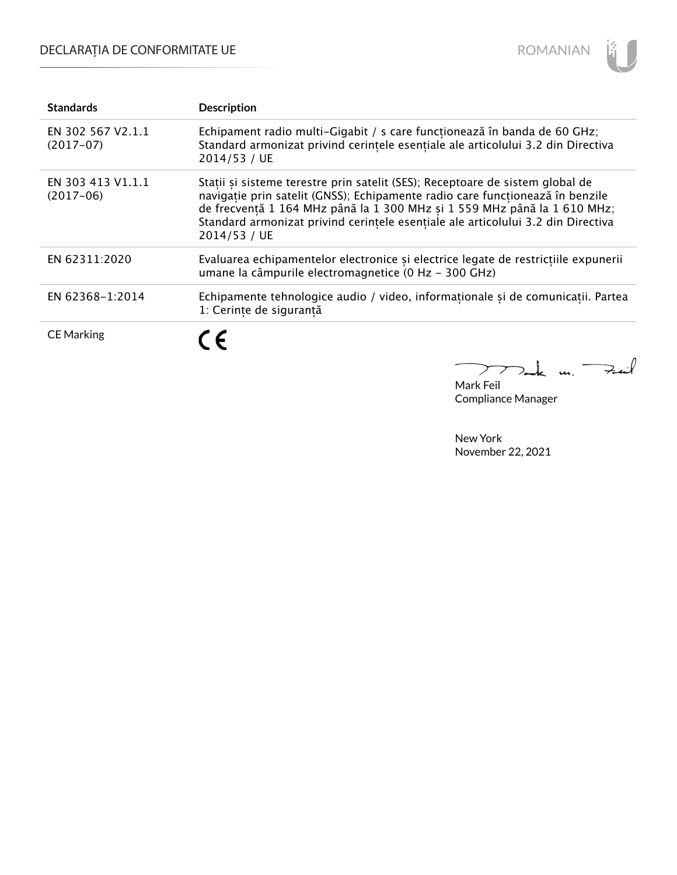# DECLARAȚIA DE CONFORMITATE UE



| <b>Standards</b>                 | <b>Description</b>                                                                                                                                                                                                                                                                                                                             |
|----------------------------------|------------------------------------------------------------------------------------------------------------------------------------------------------------------------------------------------------------------------------------------------------------------------------------------------------------------------------------------------|
| EN 302 567 V2.1.1<br>$(2017-07)$ | Echipament radio multi-Gigabit / s care funcționează în banda de 60 GHz;<br>Standard armonizat privind cerintele esențiale ale articolului 3.2 din Directiva<br>2014/53 / UE                                                                                                                                                                   |
| EN 303 413 V1.1.1<br>$(2017-06)$ | Stații și sisteme terestre prin satelit (SES); Receptoare de sistem global de<br>navigație prin satelit (GNSS); Echipamente radio care funcționează în benzile<br>de frecventă 1 164 MHz până la 1 300 MHz si 1 559 MHz până la 1 610 MHz;<br>Standard armonizat privind cerintele esențiale ale articolului 3.2 din Directiva<br>2014/53 / UE |
| EN 62311:2020                    | Evaluarea echipamentelor electronice și electrice legate de restricțiile expunerii<br>umane la câmpurile electromagnetice (0 Hz - 300 GHz)                                                                                                                                                                                                     |
| EN 62368-1:2014                  | Echipamente tehnologice audio / video, informaționale și de comunicații. Partea<br>1: Cerințe de siguranță                                                                                                                                                                                                                                     |
| <b>CE Marking</b>                | $\epsilon$                                                                                                                                                                                                                                                                                                                                     |

mak m. Feat

Mark Feil Compliance Manager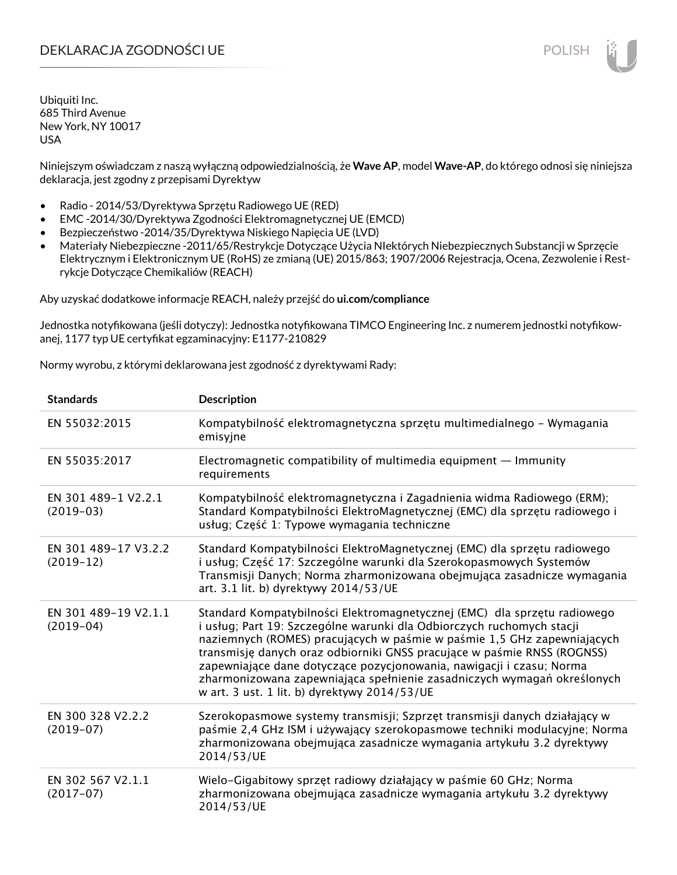## DEKLARACJA ZGODNOŚCI UE POLISH POLISH

Ubiquiti Inc. 685 Third Avenue New York, NY 10017 USA

Niniejszym oświadczam z naszą wyłączną odpowiedzialnością, że **Wave AP**, model **Wave-AP**, do którego odnosi się niniejsza deklaracja, jest zgodny z przepisami Dyrektyw

- Radio 2014/53/Dyrektywa Sprzętu Radiowego UE (RED)
- EMC -2014/30/Dyrektywa Zgodności Elektromagnetycznej UE (EMCD)
- Bezpieczeństwo -2014/35/Dyrektywa Niskiego Napięcia UE (LVD)
- Materiały Niebezpieczne -2011/65/Restrykcje Dotyczące Użycia NIektórych Niebezpiecznych Substancji w Sprzęcie Elektrycznym i Elektronicznym UE (RoHS) ze zmianą (UE) 2015/863; 1907/2006 Rejestracja, Ocena, Zezwolenie i Restrykcje Dotyczące Chemikaliów (REACH)

Aby uzyskać dodatkowe informacje REACH, należy przejść do **ui.com/compliance**

Jednostka notyfikowana (jeśli dotyczy): Jednostka notyfikowana TIMCO Engineering Inc. z numerem jednostki notyfikowanej, 1177 typ UE certyfikat egzaminacyjny: E1177-210829

Normy wyrobu, z którymi deklarowana jest zgodność z dyrektywami Rady:

| <b>Standards</b>                    | <b>Description</b>                                                                                                                                                                                                                                                                                                                                                                                                                                                                                         |
|-------------------------------------|------------------------------------------------------------------------------------------------------------------------------------------------------------------------------------------------------------------------------------------------------------------------------------------------------------------------------------------------------------------------------------------------------------------------------------------------------------------------------------------------------------|
| EN 55032:2015                       | Kompatybilność elektromagnetyczna sprzętu multimedialnego – Wymagania<br>emisyjne                                                                                                                                                                                                                                                                                                                                                                                                                          |
| EN 55035:2017                       | Electromagnetic compatibility of multimedia equipment - Immunity<br>requirements                                                                                                                                                                                                                                                                                                                                                                                                                           |
| EN 301 489-1 V2.2.1<br>$(2019-03)$  | Kompatybilność elektromagnetyczna i Zagadnienia widma Radiowego (ERM);<br>Standard Kompatybilności ElektroMagnetycznej (EMC) dla sprzętu radiowego i<br>usług; Część 1: Typowe wymagania techniczne                                                                                                                                                                                                                                                                                                        |
| EN 301 489-17 V3.2.2<br>$(2019-12)$ | Standard Kompatybilności ElektroMagnetycznej (EMC) dla sprzętu radiowego<br>i usług; Część 17: Szczególne warunki dla Szerokopasmowych Systemów<br>Transmisji Danych; Norma zharmonizowana obejmująca zasadnicze wymagania<br>art. 3.1 lit. b) dyrektywy 2014/53/UE                                                                                                                                                                                                                                        |
| EN 301 489-19 V2.1.1<br>$(2019-04)$ | Standard Kompatybilności Elektromagnetycznej (EMC) dla sprzętu radiowego<br>i usług; Part 19: Szczególne warunki dla Odbiorczych ruchomych stacji<br>naziemnych (ROMES) pracujących w paśmie w paśmie 1,5 GHz zapewniających<br>transmisję danych oraz odbiorniki GNSS pracujące w paśmie RNSS (ROGNSS)<br>zapewniające dane dotyczące pozycjonowania, nawigacji i czasu; Norma<br>zharmonizowana zapewniająca spełnienie zasadniczych wymagań określonych<br>w art. 3 ust. 1 lit. b) dyrektywy 2014/53/UE |
| EN 300 328 V2.2.2<br>$(2019-07)$    | Szerokopasmowe systemy transmisji; Szprzęt transmisji danych działający w<br>paśmie 2,4 GHz ISM i używający szerokopasmowe techniki modulacyjne; Norma<br>zharmonizowana obejmująca zasadnicze wymagania artykułu 3.2 dyrektywy<br>2014/53/UE                                                                                                                                                                                                                                                              |
| EN 302 567 V2.1.1<br>$(2017-07)$    | Wielo-Gigabitowy sprzęt radiowy działający w paśmie 60 GHz; Norma<br>zharmonizowana obejmująca zasadnicze wymagania artykułu 3.2 dyrektywy<br>2014/53/UE                                                                                                                                                                                                                                                                                                                                                   |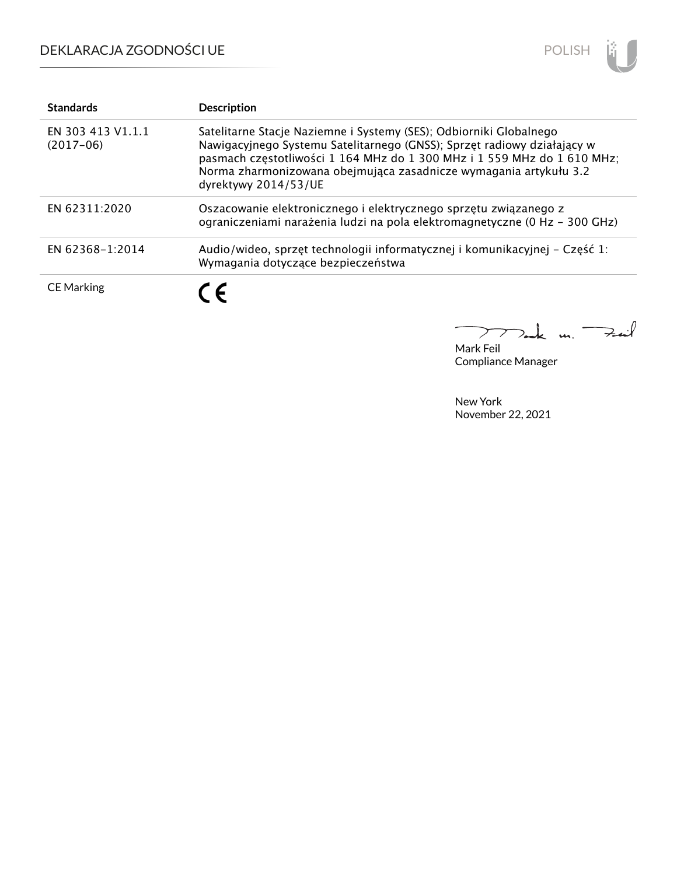

| <b>Standards</b>                 | <b>Description</b>                                                                                                                                                                                                                                                                                                    |
|----------------------------------|-----------------------------------------------------------------------------------------------------------------------------------------------------------------------------------------------------------------------------------------------------------------------------------------------------------------------|
| EN 303 413 V1.1.1<br>$(2017-06)$ | Satelitarne Stacje Naziemne i Systemy (SES); Odbiorniki Globalnego<br>Nawigacyjnego Systemu Satelitarnego (GNSS); Sprzęt radiowy działający w<br>pasmach częstotliwości 1 164 MHz do 1 300 MHz i 1 559 MHz do 1 610 MHz;<br>Norma zharmonizowana obejmująca zasadnicze wymagania artykułu 3.2<br>dyrektywy 2014/53/UE |
| EN 62311:2020                    | Oszacowanie elektronicznego i elektrycznego sprzętu związanego z<br>ograniczeniami narażenia ludzi na pola elektromagnetyczne (0 Hz - 300 GHz)                                                                                                                                                                        |
| EN 62368-1:2014                  | Audio/wideo, sprzęt technologii informatycznej i komunikacyjnej – Część 1:<br>Wymagania dotyczące bezpieczeństwa                                                                                                                                                                                                      |
| <b>CE Marking</b>                | (E                                                                                                                                                                                                                                                                                                                    |

k m. Fail  $\sum$  $\overline{\phantom{a}}$ 

Mark Feil Compliance Manager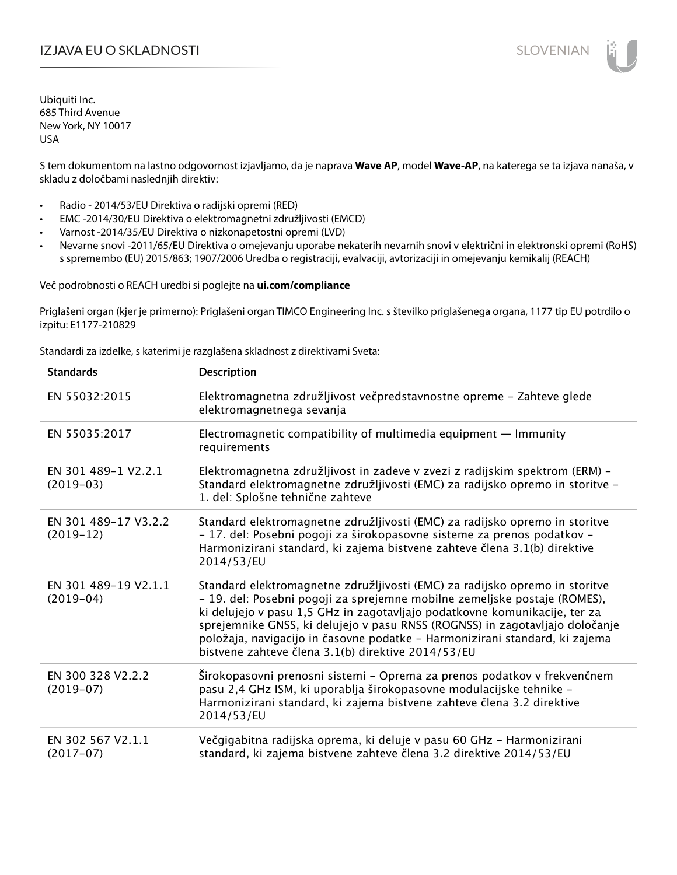## I**ZJAVA EU O SKLADNOSTI** SLOVENIAN

Ubiquiti Inc. 685 Third Avenue New York, NY 10017 USA

S tem dokumentom na lastno odgovornost izjavljamo, da je naprava **Wave AP**, model **Wave-AP**, na katerega se ta izjava nanaša, v skladu z določbami naslednjih direktiv:

- Radio 2014/53/EU Direktiva o radijski opremi (RED)
- EMC -2014/30/EU Direktiva o elektromagnetni združljivosti (EMCD)
- Varnost -2014/35/EU Direktiva o nizkonapetostni opremi (LVD)
- Nevarne snovi -2011/65/EU Direktiva o omejevanju uporabe nekaterih nevarnih snovi v električni in elektronski opremi (RoHS) s spremembo (EU) 2015/863; 1907/2006 Uredba o registraciji, evalvaciji, avtorizaciji in omejevanju kemikalij (REACH)

Več podrobnosti o REACH uredbi si poglejte na **ui.com/compliance**

Priglašeni organ (kjer je primerno): Priglašeni organ TIMCO Engineering Inc. s številko priglašenega organa, 1177 tip EU potrdilo o izpitu: E1177-210829

Standardi za izdelke, s katerimi je razglašena skladnost z direktivami Sveta:

| <b>Standards</b>                    | <b>Description</b>                                                                                                                                                                                                                                                                                                                                                                                                                                          |
|-------------------------------------|-------------------------------------------------------------------------------------------------------------------------------------------------------------------------------------------------------------------------------------------------------------------------------------------------------------------------------------------------------------------------------------------------------------------------------------------------------------|
| EN 55032:2015                       | Elektromagnetna združljivost večpredstavnostne opreme - Zahteve glede<br>elektromagnetnega sevanja                                                                                                                                                                                                                                                                                                                                                          |
| EN 55035:2017                       | Electromagnetic compatibility of multimedia equipment $-$ Immunity<br>requirements                                                                                                                                                                                                                                                                                                                                                                          |
| EN 301 489-1 V2.2.1<br>$(2019-03)$  | Elektromagnetna združljivost in zadeve v zvezi z radijskim spektrom (ERM) -<br>Standard elektromagnetne združljivosti (EMC) za radijsko opremo in storitve -<br>1. del: Splošne tehnične zahteve                                                                                                                                                                                                                                                            |
| EN 301 489-17 V3.2.2<br>$(2019-12)$ | Standard elektromagnetne združljivosti (EMC) za radijsko opremo in storitve<br>- 17. del: Posebni pogoji za širokopasovne sisteme za prenos podatkov -<br>Harmonizirani standard, ki zajema bistvene zahteve člena 3.1(b) direktive<br>2014/53/EU                                                                                                                                                                                                           |
| EN 301 489-19 V2.1.1<br>$(2019-04)$ | Standard elektromagnetne združljivosti (EMC) za radijsko opremo in storitve<br>- 19. del: Posebni pogoji za sprejemne mobilne zemeljske postaje (ROMES),<br>ki delujejo v pasu 1,5 GHz in zagotavljajo podatkovne komunikacije, ter za<br>sprejemnike GNSS, ki delujejo v pasu RNSS (ROGNSS) in zagotavljajo določanje<br>položaja, navigacijo in časovne podatke - Harmonizirani standard, ki zajema<br>bistvene zahteve člena 3.1(b) direktive 2014/53/EU |
| EN 300 328 V2.2.2<br>$(2019-07)$    | Širokopasovni prenosni sistemi - Oprema za prenos podatkov v frekvenčnem<br>pasu 2,4 GHz ISM, ki uporablja širokopasovne modulacijske tehnike -<br>Harmonizirani standard, ki zajema bistvene zahteve člena 3.2 direktive<br>2014/53/EU                                                                                                                                                                                                                     |
| EN 302 567 V2.1.1<br>$(2017-07)$    | Večgigabitna radijska oprema, ki deluje v pasu 60 GHz - Harmonizirani<br>standard, ki zajema bistvene zahteve člena 3.2 direktive 2014/53/EU                                                                                                                                                                                                                                                                                                                |
|                                     |                                                                                                                                                                                                                                                                                                                                                                                                                                                             |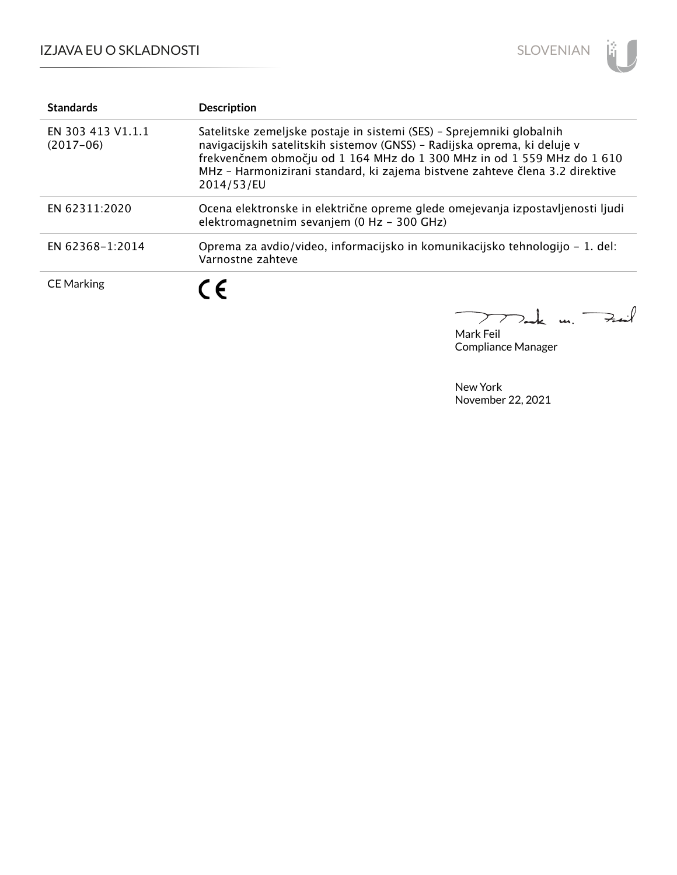

| <b>Standards</b>                 | <b>Description</b>                                                                                                                                                                                                                                                                                                        |
|----------------------------------|---------------------------------------------------------------------------------------------------------------------------------------------------------------------------------------------------------------------------------------------------------------------------------------------------------------------------|
| EN 303 413 V1.1.1<br>$(2017-06)$ | Satelitske zemeljske postaje in sistemi (SES) - Sprejemniki globalnih<br>navigacijskih satelitskih sistemov (GNSS) - Radijska oprema, ki deluje v<br>frekvenčnem območju od 1 164 MHz do 1 300 MHz in od 1 559 MHz do 1 610<br>MHz - Harmonizirani standard, ki zajema bistvene zahteve člena 3.2 direktive<br>2014/53/EU |
| EN 62311:2020                    | Ocena elektronske in električne opreme glede omejevanja izpostavljenosti ljudi<br>elektromagnetnim sevanjem (0 Hz - 300 GHz)                                                                                                                                                                                              |
| EN 62368-1:2014                  | Oprema za avdio/video, informacijsko in komunikacijsko tehnologijo – 1. del:<br>Varnostne zahteve                                                                                                                                                                                                                         |
| <b>CE Marking</b>                | C E                                                                                                                                                                                                                                                                                                                       |

Mark Feil Compliance Manager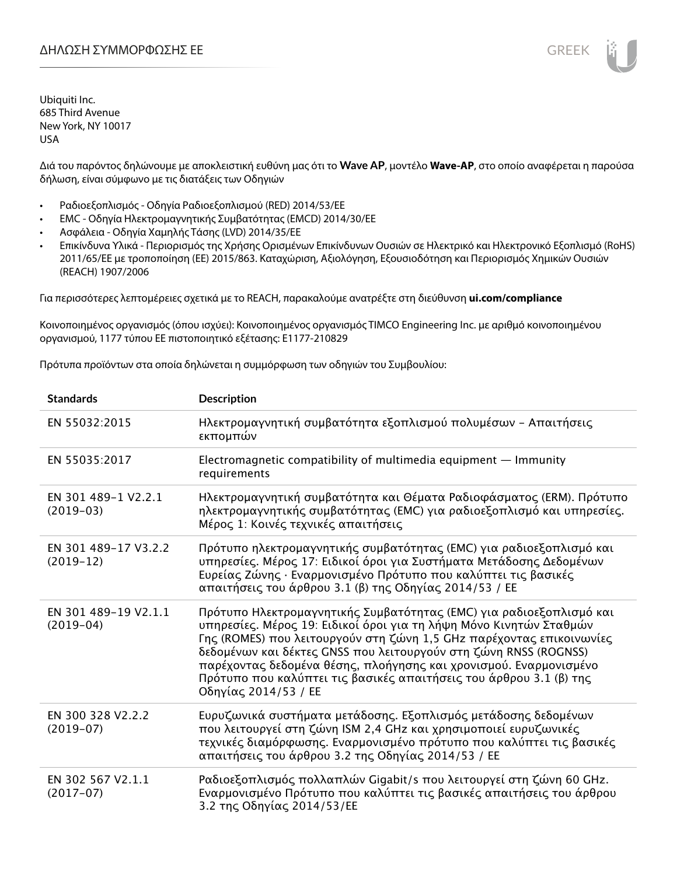Διά του παρόντος δηλώνουμε με αποκλειστική ευθύνη μας ότι το **Wave AP**, μοντέλο **Wave-AP**, στο οποίο αναφέρεται η παρούσα δήλωση, είναι σύμφωνο με τις διατάξεις των Οδηγιών

- Ραδιοεξοπλισμός Οδηγία Ραδιοεξοπλισμού (RED) 2014/53/ΕΕ
- EMC Οδηγία Ηλεκτρομαγνητικής Συμβατότητας (EMCD) 2014/30/ΕΕ
- Ασφάλεια Οδηγία Χαμηλής Τάσης (LVD) 2014/35/ΕΕ
- Επικίνδυνα Υλικά Περιορισμός της Χρήσης Ορισμένων Επικίνδυνων Ουσιών σε Ηλεκτρικό και Ηλεκτρονικό Εξοπλισμό (RoHS) 2011/65/ΕΕ με τροποποίηση (ΕΕ) 2015/863. Καταχώριση, Αξιολόγηση, Εξουσιοδότηση και Περιορισμός Χημικών Ουσιών (REACH) 1907/2006

Για περισσότερες λεπτομέρειες σχετικά με το REACH, παρακαλούμε ανατρέξτε στη διεύθυνση **ui.com/compliance**

Κοινοποιημένος οργανισμός (όπου ισχύει): Κοινοποιημένος οργανισμός TIMCO Engineering Inc. με αριθμό κοινοποιημένου οργανισμού, 1177 τύπου ΕΕ πιστοποιητικό εξέτασης: E1177-210829

Πρότυπα προϊόντων στα οποία δηλώνεται η συμμόρφωση των οδηγιών του Συμβουλίου:

| <b>Standards</b>                    | <b>Description</b>                                                                                                                                                                                                                                                                                                                                                                                                                                       |
|-------------------------------------|----------------------------------------------------------------------------------------------------------------------------------------------------------------------------------------------------------------------------------------------------------------------------------------------------------------------------------------------------------------------------------------------------------------------------------------------------------|
| EN 55032:2015                       | Ηλεκτρομαγνητική συμβατότητα εξοπλισμού πολυμέσων - Απαιτήσεις<br>εκπομπών                                                                                                                                                                                                                                                                                                                                                                               |
| EN 55035:2017                       | Electromagnetic compatibility of multimedia equipment – Immunity<br>requirements                                                                                                                                                                                                                                                                                                                                                                         |
| EN 301 489-1 V2.2.1<br>$(2019-03)$  | Ηλεκτρομαγνητική συμβατότητα και Θέματα Ραδιοφάσματος (ERM). Πρότυπο<br>ηλεκτρομαγνητικής συμβατότητας (ΕΜC) για ραδιοεξοπλισμό και υπηρεσίες.<br>Μέρος 1: Κοινές τεχνικές απαιτήσεις                                                                                                                                                                                                                                                                    |
| EN 301 489-17 V3.2.2<br>$(2019-12)$ | Πρότυπο ηλεκτρομαγνητικής συμβατότητας (ΕΜC) για ραδιοεξοπλισμό και<br>υπηρεσίες. Μέρος 17: Ειδικοί όροι για Συστήματα Μετάδοσης Δεδομένων<br>Ευρείας Ζώνης · Εναρμονισμένο Πρότυπο που καλύπτει τις βασικές<br>απαιτήσεις του άρθρου 3.1 (β) της Οδηγίας 2014/53 / ΕΕ                                                                                                                                                                                   |
| EN 301 489-19 V2.1.1<br>$(2019-04)$ | Πρότυπο Ηλεκτρομαγνητικής Συμβατότητας (ΕΜC) για ραδιοεξοπλισμό και<br>υπηρεσίες. Μέρος 19: Ειδικοί όροι για τη λήψη Μόνο Κινητών Σταθμών<br>Γης (ROMES) που λειτουργούν στη ζώνη 1,5 GHz παρέχοντας επικοινωνίες<br>δεδομένων και δέκτες GNSS που λειτουργούν στη ζώνη RNSS (ROGNSS)<br>παρέχοντας δεδομένα θέσης, πλοήγησης και χρονισμού. Εναρμονισμένο<br>Πρότυπο που καλύπτει τις βασικές απαιτήσεις του άρθρου 3.1 (β) της<br>Οδηγίας 2014/53 / ΕΕ |
| EN 300 328 V2.2.2<br>$(2019-07)$    | Ευρυζωνικά συστήματα μετάδοσης. Εξοπλισμός μετάδοσης δεδομένων<br>που λειτουργεί στη ζώνη ISM 2,4 GHz και χρησιμοποιεί ευρυζωνικές<br>τεχνικές διαμόρφωσης. Εναρμονισμένο πρότυπο που καλύπτει τις βασικές<br>απαιτήσεις του άρθρου 3.2 της Οδηγίας 2014/53 / ΕΕ                                                                                                                                                                                         |
| EN 302 567 V2.1.1<br>$(2017-07)$    | Ραδιοεξοπλισμός πολλαπλών Gigabit/s που λειτουργεί στη ζώνη 60 GHz.<br>Εναρμονισμένο Πρότυπο που καλύπτει τις βασικές απαιτήσεις του άρθρου<br>3.2 της Οδηγίας 2014/53/ΕΕ                                                                                                                                                                                                                                                                                |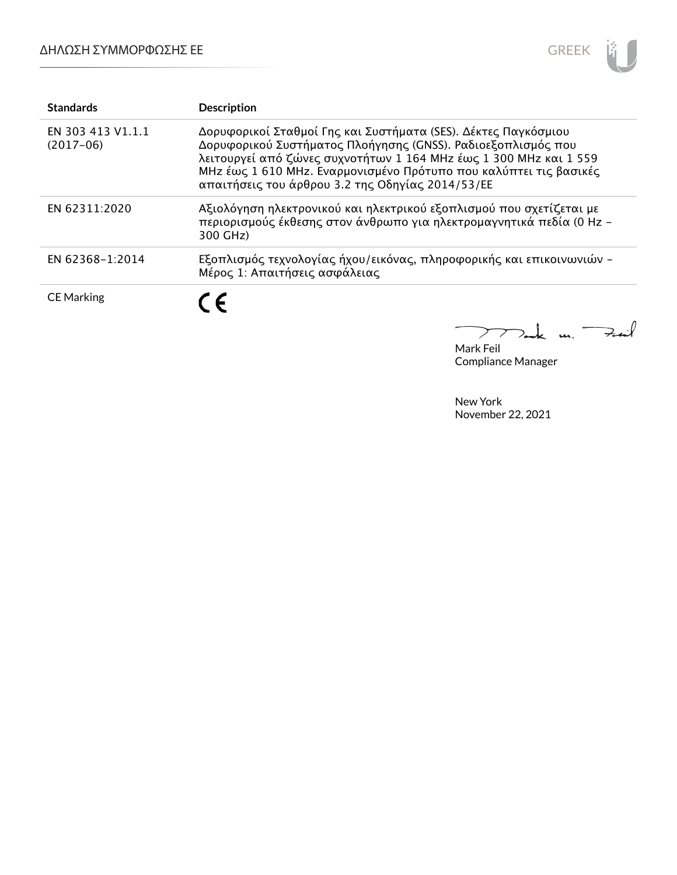

| <b>Standards</b>                 | <b>Description</b>                                                                                                                                                                                                                                                                                                           |
|----------------------------------|------------------------------------------------------------------------------------------------------------------------------------------------------------------------------------------------------------------------------------------------------------------------------------------------------------------------------|
| EN 303 413 V1.1.1<br>$(2017-06)$ | Δορυφορικοί Σταθμοί Γης και Συστήματα (SES). Δέκτες Παγκόσμιου<br>Δορυφορικού Συστήματος Πλοήγησης (GNSS). Ραδιοεξοπλισμός που<br>λειτουργεί από ζώνες συχνοτήτων 1 164 MHz έως 1 300 MHz και 1 559<br>MHz έως 1 610 MHz. Εναρμονισμένο Πρότυπο που καλύπτει τις βασικές<br>απαιτήσεις του άρθρου 3.2 της Οδηγίας 2014/53/ΕΕ |
| EN 62311:2020                    | Αξιολόγηση ηλεκτρονικού και ηλεκτρικού εξοπλισμού που σχετίζεται με<br>περιορισμούς έκθεσης στον άνθρωπο για ηλεκτρομαγνητικά πεδία (0 Hz -<br>300 GHz)                                                                                                                                                                      |
| EN 62368-1:2014                  | Εξοπλισμός τεχνολογίας ήχου/εικόνας, πληροφορικής και επικοινωνιών -<br>Μέρος 1: Απαιτήσεις ασφάλειας                                                                                                                                                                                                                        |
| <b>CE Marking</b>                | $\epsilon$                                                                                                                                                                                                                                                                                                                   |

Tak m. Fail  $\overline{\phantom{0}}$  $\sum$  $\overline{\phantom{a}}$ Mark Feil

Compliance Manager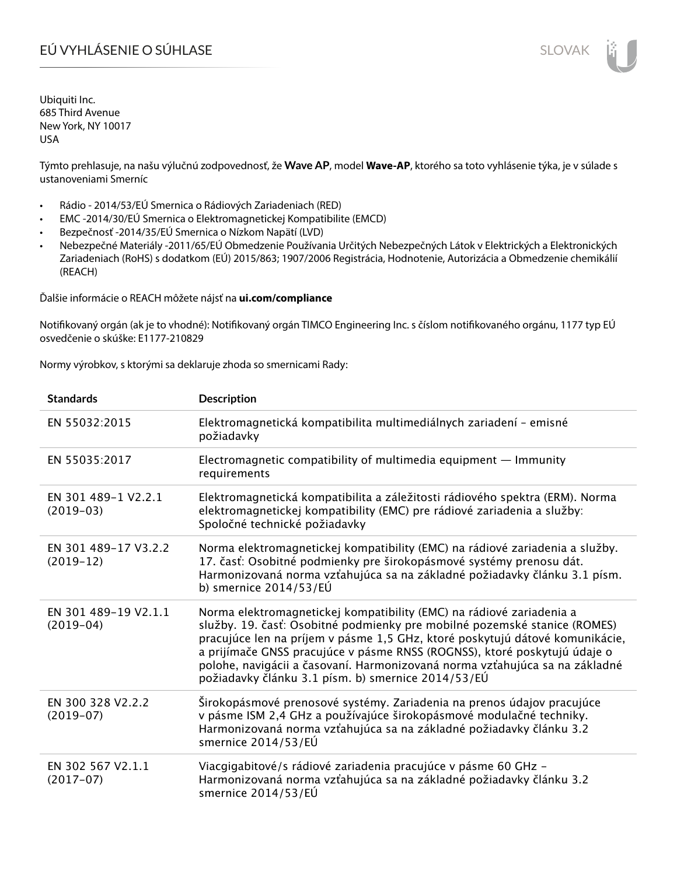# EÚ VYHLÁSENIE O SÚHLASE SLOVAK SLOVAK

Ubiquiti Inc. 685 Third Avenue New York, NY 10017 USA

Týmto prehlasuje, na našu výlučnú zodpovednosť, že **Wave AP**, model **Wave-AP**, ktorého sa toto vyhlásenie týka, je v súlade s ustanoveniami Smerníc

- Rádio 2014/53/EÚ Smernica o Rádiových Zariadeniach (RED)
- EMC -2014/30/EÚ Smernica o Elektromagnetickej Kompatibilite (EMCD)
- Bezpečnosť -2014/35/EÚ Smernica o Nízkom Napätí (LVD)
- Nebezpečné Materiály -2011/65/EÚ Obmedzenie Používania Určitých Nebezpečných Látok v Elektrických a Elektronických Zariadeniach (RoHS) s dodatkom (EÚ) 2015/863; 1907/2006 Registrácia, Hodnotenie, Autorizácia a Obmedzenie chemikálií (REACH)

Ďalšie informácie o REACH môžete nájsť na **ui.com/compliance**

Notifikovaný orgán (ak je to vhodné): Notifikovaný orgán TIMCO Engineering Inc. s číslom notifikovaného orgánu, 1177 typ EÚ osvedčenie o skúške: E1177-210829

Normy výrobkov, s ktorými sa deklaruje zhoda so smernicami Rady:

| <b>Standards</b>                    | <b>Description</b>                                                                                                                                                                                                                                                                                                                                                                                                                                  |
|-------------------------------------|-----------------------------------------------------------------------------------------------------------------------------------------------------------------------------------------------------------------------------------------------------------------------------------------------------------------------------------------------------------------------------------------------------------------------------------------------------|
| EN 55032:2015                       | Elektromagnetická kompatibilita multimediálnych zariadení - emisné<br>požiadavky                                                                                                                                                                                                                                                                                                                                                                    |
| EN 55035:2017                       | Electromagnetic compatibility of multimedia equipment $-$ Immunity<br>requirements                                                                                                                                                                                                                                                                                                                                                                  |
| EN 301 489-1 V2.2.1<br>$(2019-03)$  | Elektromagnetická kompatibilita a záležitosti rádiového spektra (ERM). Norma<br>elektromagnetickej kompatibility (EMC) pre rádiové zariadenia a služby:<br>Spoločné technické požiadavky                                                                                                                                                                                                                                                            |
| EN 301 489-17 V3.2.2<br>$(2019-12)$ | Norma elektromagnetickej kompatibility (EMC) na rádiové zariadenia a služby.<br>17. časť: Osobitné podmienky pre širokopásmové systémy prenosu dát.<br>Harmonizovaná norma vzťahujúca sa na základné požiadavky článku 3.1 písm.<br>b) smernice $2014/53/EU$                                                                                                                                                                                        |
| EN 301 489-19 V2.1.1<br>$(2019-04)$ | Norma elektromagnetickej kompatibility (EMC) na rádiové zariadenia a<br>služby. 19. časť: Osobitné podmienky pre mobilné pozemské stanice (ROMES)<br>pracujúce len na príjem v pásme 1,5 GHz, ktoré poskytujú dátové komunikácie,<br>a prijímače GNSS pracujúce v pásme RNSS (ROGNSS), ktoré poskytujú údaje o<br>polohe, navigácii a časovaní. Harmonizovaná norma vzťahujúca sa na základné<br>požiadavky článku 3.1 písm. b) smernice 2014/53/EÚ |
| EN 300 328 V2.2.2<br>$(2019-07)$    | Širokopásmové prenosové systémy. Zariadenia na prenos údajov pracujúce<br>v pásme ISM 2,4 GHz a používajúce širokopásmové modulačné techniky.<br>Harmonizovaná norma vzťahujúca sa na základné požiadavky článku 3.2<br>smernice 2014/53/EÚ                                                                                                                                                                                                         |
| EN 302 567 V2.1.1<br>$(2017-07)$    | Viacgigabitové/s rádiové zariadenia pracujúce v pásme 60 GHz -<br>Harmonizovaná norma vzťahujúca sa na základné požiadavky článku 3.2<br>smernice 2014/53/EÚ                                                                                                                                                                                                                                                                                        |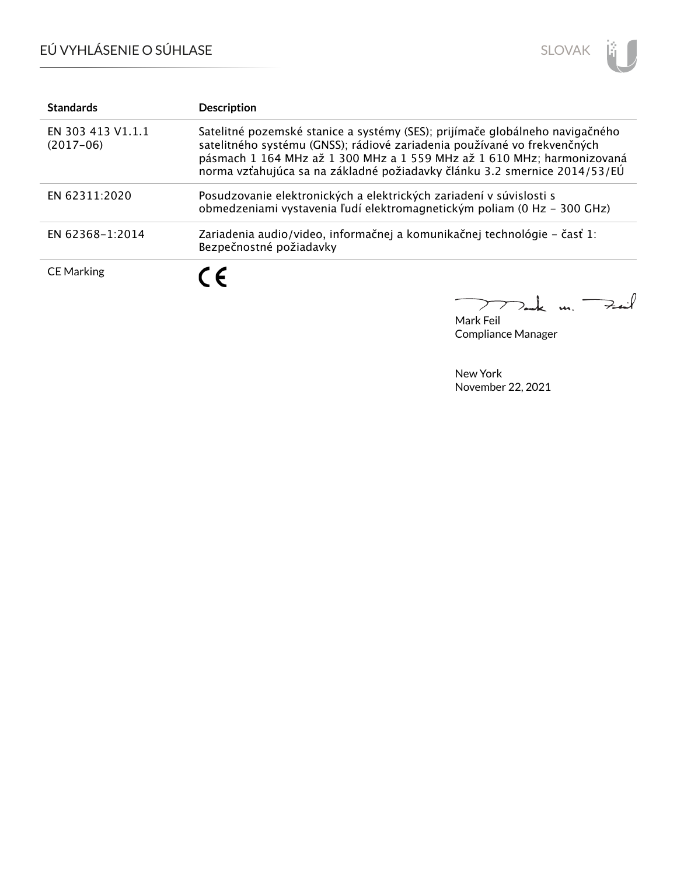

| <b>Standards</b>                 | <b>Description</b>                                                                                                                                                                                                                                                                                              |
|----------------------------------|-----------------------------------------------------------------------------------------------------------------------------------------------------------------------------------------------------------------------------------------------------------------------------------------------------------------|
| EN 303 413 V1.1.1<br>$(2017-06)$ | Satelitné pozemské stanice a systémy (SES); prijímače globálneho navigačného<br>satelitného systému (GNSS); rádiové zariadenia používané vo frekvenčných<br>pásmach 1 164 MHz až 1 300 MHz a 1 559 MHz až 1 610 MHz; harmonizovaná<br>norma vzťahujúca sa na základné požiadavky článku 3.2 smernice 2014/53/EÚ |
| EN 62311:2020                    | Posudzovanie elektronických a elektrických zariadení v súvislosti s<br>obmedzeniami vystavenia ľudí elektromagnetickým poliam (0 Hz - 300 GHz)                                                                                                                                                                  |
| EN 62368-1:2014                  | Zariadenia audio/video, informačnej a komunikačnej technológie – časť 1:<br>Bezpečnostné požiadavky                                                                                                                                                                                                             |
| <b>CE Marking</b>                | ( F                                                                                                                                                                                                                                                                                                             |

mak m. Fail  $\overline{\phantom{0}}$ 

Mark Feil Compliance Manager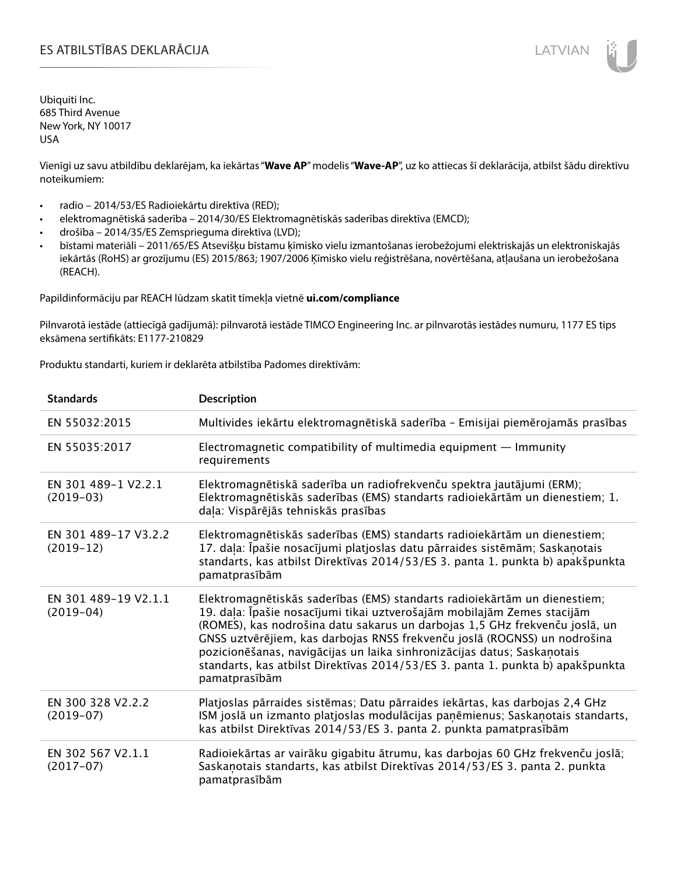Vienīgi uz savu atbildību deklarējam, ka iekārtas "**Wave AP**" modelis "**Wave-AP**", uz ko attiecas šī deklarācija, atbilst šādu direktīvu noteikumiem:

- radio 2014/53/ES Radioiekārtu direktīva (RED);
- elektromagnētiskā saderība 2014/30/ES Elektromagnētiskās saderības direktīva (EMCD);
- drošība 2014/35/ES Zemsprieguma direktīva (LVD);
- bīstami materiāli 2011/65/ES Atsevišķu bīstamu ķīmisko vielu izmantošanas ierobežojumi elektriskajās un elektroniskajās iekārtās (RoHS) ar grozījumu (ES) 2015/863; 1907/2006 Ķīmisko vielu reģistrēšana, novērtēšana, atļaušana un ierobežošana (REACH).

Papildinformāciju par REACH lūdzam skatīt tīmekļa vietnē **ui.com/compliance**

Pilnvarotā iestāde (attiecīgā gadījumā): pilnvarotā iestāde TIMCO Engineering Inc. ar pilnvarotās iestādes numuru, 1177 ES tips eksāmena sertifikāts: E1177-210829

Produktu standarti, kuriem ir deklarēta atbilstība Padomes direktīvām:

| <b>Standards</b>                    | <b>Description</b>                                                                                                                                                                                                                                                                                                                                                                                                                                                                             |
|-------------------------------------|------------------------------------------------------------------------------------------------------------------------------------------------------------------------------------------------------------------------------------------------------------------------------------------------------------------------------------------------------------------------------------------------------------------------------------------------------------------------------------------------|
| EN 55032:2015                       | Multivides iekārtu elektromagnētiskā saderība - Emisijai piemērojamās prasības                                                                                                                                                                                                                                                                                                                                                                                                                 |
| EN 55035:2017                       | Electromagnetic compatibility of multimedia equipment - Immunity<br>requirements                                                                                                                                                                                                                                                                                                                                                                                                               |
| EN 301 489-1 V2.2.1<br>$(2019-03)$  | Elektromagnētiskā saderība un radiofrekvenču spektra jautājumi (ERM);<br>Elektromagnētiskās saderības (EMS) standarts radioiekārtām un dienestiem; 1.<br>daļa: Vispārējās tehniskās prasības                                                                                                                                                                                                                                                                                                   |
| EN 301 489-17 V3.2.2<br>$(2019-12)$ | Elektromagnētiskās saderības (EMS) standarts radioiekārtām un dienestiem;<br>17. daļa: Īpašie nosacījumi platjoslas datu pārraides sistēmām; Saskaņotais<br>standarts, kas atbilst Direktīvas 2014/53/ES 3. panta 1. punkta b) apakšpunkta<br>pamatprasībām                                                                                                                                                                                                                                    |
| EN 301 489-19 V2.1.1<br>$(2019-04)$ | Elektromagnētiskās saderības (EMS) standarts radioiekārtām un dienestiem;<br>19. daļa: Īpašie nosacījumi tikai uztverošajām mobilajām Zemes stacijām<br>(ROMES), kas nodrošina datu sakarus un darbojas 1,5 GHz frekvenču joslā, un<br>GNSS uztvērējiem, kas darbojas RNSS frekvenču joslā (ROGNSS) un nodrošina<br>pozicionēšanas, navigācijas un laika sinhronizācijas datus; Saskaņotais<br>standarts, kas atbilst Direktīvas 2014/53/ES 3. panta 1. punkta b) apakšpunkta<br>pamatprasībām |
| EN 300 328 V2.2.2<br>$(2019-07)$    | Platjoslas pārraides sistēmas; Datu pārraides iekārtas, kas darbojas 2,4 GHz<br>ISM joslā un izmanto platjoslas modulācijas paņēmienus; Saskaņotais standarts,<br>kas atbilst Direktīvas 2014/53/ES 3. panta 2. punkta pamatprasībām                                                                                                                                                                                                                                                           |
| EN 302 567 V2.1.1<br>$(2017-07)$    | Radioiekārtas ar vairāku gigabitu ātrumu, kas darbojas 60 GHz frekvenču joslā;<br>Saskaņotais standarts, kas atbilst Direktīvas 2014/53/ES 3. panta 2. punkta<br>pamatprasībām                                                                                                                                                                                                                                                                                                                 |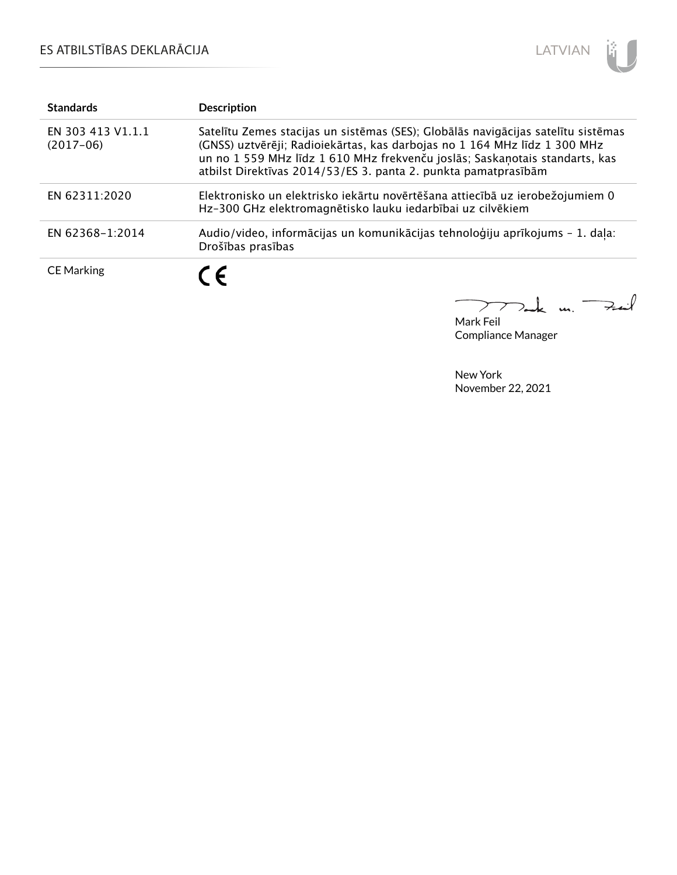

| <b>Standards</b>                 | <b>Description</b>                                                                                                                                                                                                                                                                                              |
|----------------------------------|-----------------------------------------------------------------------------------------------------------------------------------------------------------------------------------------------------------------------------------------------------------------------------------------------------------------|
| EN 303 413 V1.1.1<br>$(2017-06)$ | Satelītu Zemes stacijas un sistēmas (SES); Globālās navigācijas satelītu sistēmas<br>(GNSS) uztvērēji; Radioiekārtas, kas darbojas no 1 164 MHz līdz 1 300 MHz<br>un no 1 559 MHz līdz 1 610 MHz frekvenču joslās; Saskaņotais standarts, kas<br>atbilst Direktīvas 2014/53/ES 3. panta 2. punkta pamatprasībām |
| EN 62311:2020                    | Elektronisko un elektrisko iekārtu novērtēšana attiecībā uz ierobežojumiem 0<br>Hz-300 GHz elektromagnētisko lauku iedarbībai uz cilvēkiem                                                                                                                                                                      |
| EN 62368-1:2014                  | Audio/video, informācijas un komunikācijas tehnoloģiju aprīkojums - 1. daļa:<br>Drošības prasības                                                                                                                                                                                                               |
| <b>CE Marking</b>                | C E                                                                                                                                                                                                                                                                                                             |

 $\Rightarrow$  $\overline{\phantom{0}}$  $\mu$ .  $\sum$ 

Mark Feil Compliance Manager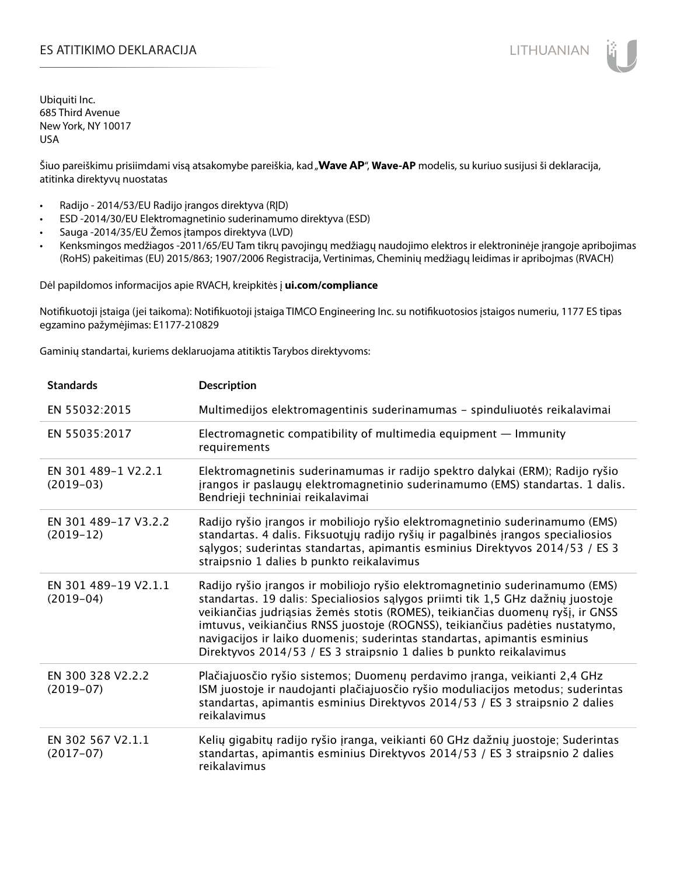## ES ATITIKIMO DEKLARACIJA NA SATITIKIMO DEKLARACIJA NA SATITIKIMO DE SATITIKIMO DE KLARACIJA NA SATITIKIMO DE KLA

Ubiquiti Inc. 685 Third Avenue New York, NY 10017 USA

Šiuo pareiškimu prisiimdami visą atsakomybe pareiškia, kad "Wave AP", Wave-AP modelis, su kuriuo susijusi ši deklaracija, atitinka direktyvų nuostatas

- Radijo 2014/53/EU Radijo įrangos direktyva (RĮD)
- ESD -2014/30/EU Elektromagnetinio suderinamumo direktyva (ESD)
- Sauga -2014/35/EU Žemos įtampos direktyva (LVD)
- Kenksmingos medžiagos -2011/65/EU Tam tikrų pavojingų medžiagų naudojimo elektros ir elektroninėje įrangoje apribojimas (RoHS) pakeitimas (EU) 2015/863; 1907/2006 Registracija, Vertinimas, Cheminių medžiagų leidimas ir apribojmas (RVACH)

Dėl papildomos informacijos apie RVACH, kreipkitės į **ui.com/compliance**

Notifikuotoji įstaiga (jei taikoma): Notifikuotoji įstaiga TIMCO Engineering Inc. su notifikuotosios įstaigos numeriu, 1177 ES tipas egzamino pažymėjimas: E1177-210829

Gaminių standartai, kuriems deklaruojama atitiktis Tarybos direktyvoms:

| <b>Standards</b>                    | <b>Description</b>                                                                                                                                                                                                                                                                                                                                                                                                                                                                   |
|-------------------------------------|--------------------------------------------------------------------------------------------------------------------------------------------------------------------------------------------------------------------------------------------------------------------------------------------------------------------------------------------------------------------------------------------------------------------------------------------------------------------------------------|
| EN 55032:2015                       | Multimedijos elektromagentinis suderinamumas - spinduliuotės reikalavimai                                                                                                                                                                                                                                                                                                                                                                                                            |
| EN 55035:2017                       | Electromagnetic compatibility of multimedia equipment - Immunity<br>requirements                                                                                                                                                                                                                                                                                                                                                                                                     |
| EN 301 489-1 V2.2.1<br>$(2019-03)$  | Elektromagnetinis suderinamumas ir radijo spektro dalykai (ERM); Radijo ryšio<br>jrangos ir paslaugų elektromagnetinio suderinamumo (EMS) standartas. 1 dalis.<br>Bendrieji techniniai reikalavimai                                                                                                                                                                                                                                                                                  |
| EN 301 489-17 V3.2.2<br>$(2019-12)$ | Radijo ryšio įrangos ir mobiliojo ryšio elektromagnetinio suderinamumo (EMS)<br>standartas. 4 dalis. Fiksuotųjų radijo ryšių ir pagalbinės įrangos specialiosios<br>salygos; suderintas standartas, apimantis esminius Direktyvos 2014/53 / ES 3<br>straipsnio 1 dalies b punkto reikalavimus                                                                                                                                                                                        |
| EN 301 489-19 V2.1.1<br>$(2019-04)$ | Radijo ryšio įrangos ir mobiliojo ryšio elektromagnetinio suderinamumo (EMS)<br>standartas. 19 dalis: Specialiosios sąlygos priimti tik 1,5 GHz dažnių juostoje<br>veikiančias judriąsias žemės stotis (ROMES), teikiančias duomenų ryšį, ir GNSS<br>imtuvus, veikiančius RNSS juostoje (ROGNSS), teikiančius padėties nustatymo,<br>navigacijos ir laiko duomenis; suderintas standartas, apimantis esminius<br>Direktyvos 2014/53 / ES 3 straipsnio 1 dalies b punkto reikalavimus |
| EN 300 328 V2.2.2<br>$(2019-07)$    | Plačiajuosčio ryšio sistemos; Duomenų perdavimo įranga, veikianti 2,4 GHz<br>ISM juostoje ir naudojanti plačiajuosčio ryšio moduliacijos metodus; suderintas<br>standartas, apimantis esminius Direktyvos 2014/53 / ES 3 straipsnio 2 dalies<br>reikalavimus                                                                                                                                                                                                                         |
| EN 302 567 V2.1.1<br>$(2017-07)$    | Kelių gigabitų radijo ryšio įranga, veikianti 60 GHz dažnių juostoje; Suderintas<br>standartas, apimantis esminius Direktyvos 2014/53 / ES 3 straipsnio 2 dalies<br>reikalavimus                                                                                                                                                                                                                                                                                                     |